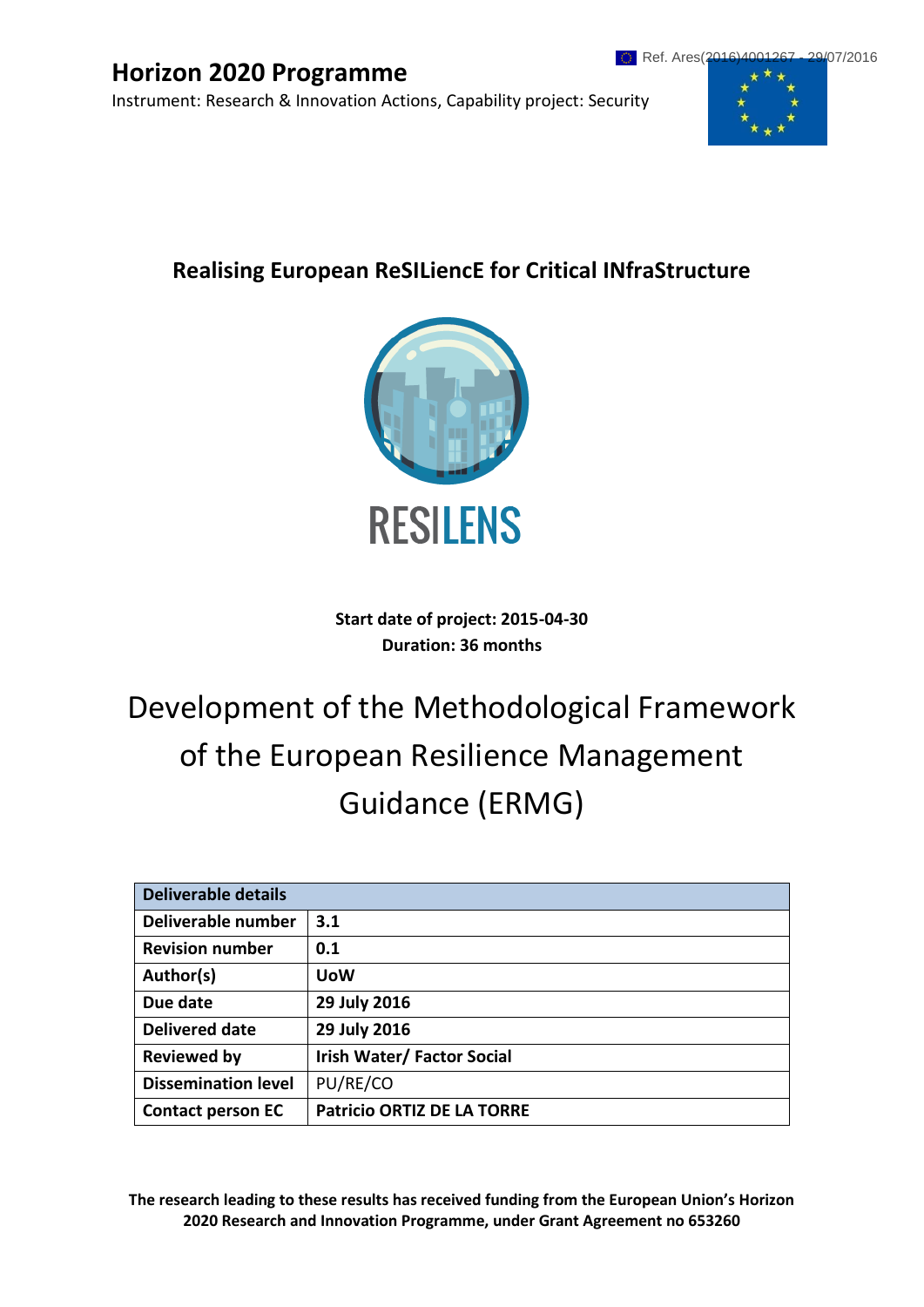# **Horizon 2020 Programme**

Instrument: Research & Innovation Actions, Capability project: Security



# **Realising European ReSILiencE for Critical INfraStructure**



**Start date of project: 2015-04-30 Duration: 36 months**

# Development of the Methodological Framework of the European Resilience Management Guidance (ERMG)

| <b>Deliverable details</b> |                                   |  |  |
|----------------------------|-----------------------------------|--|--|
| Deliverable number         | 3.1                               |  |  |
| <b>Revision number</b>     | 0.1                               |  |  |
| Author(s)                  | <b>UoW</b>                        |  |  |
| Due date                   | 29 July 2016                      |  |  |
| <b>Delivered date</b>      | 29 July 2016                      |  |  |
| <b>Reviewed by</b>         | <b>Irish Water/Factor Social</b>  |  |  |
| <b>Dissemination level</b> | PU/RE/CO                          |  |  |
| <b>Contact person EC</b>   | <b>Patricio ORTIZ DE LA TORRE</b> |  |  |

**The research leading to these results has received funding from the European Union's Horizon 2020 Research and Innovation Programme, under Grant Agreement no 653260**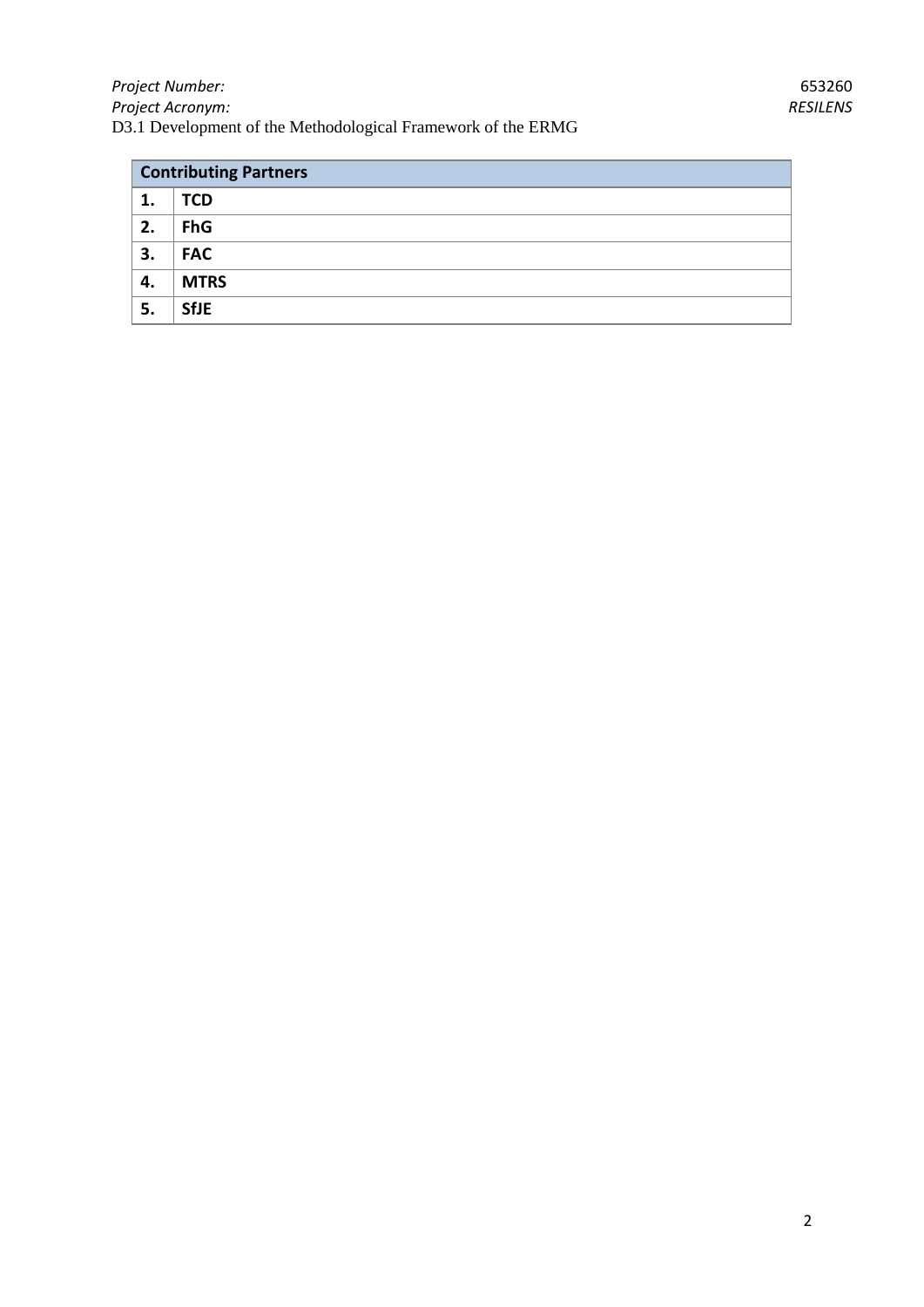| <b>Contributing Partners</b> |             |  |  |  |
|------------------------------|-------------|--|--|--|
| 1.                           | <b>TCD</b>  |  |  |  |
| 2.                           | <b>FhG</b>  |  |  |  |
| 3.                           | <b>FAC</b>  |  |  |  |
| 4.                           | <b>MTRS</b> |  |  |  |
| 5.                           | <b>SfJE</b> |  |  |  |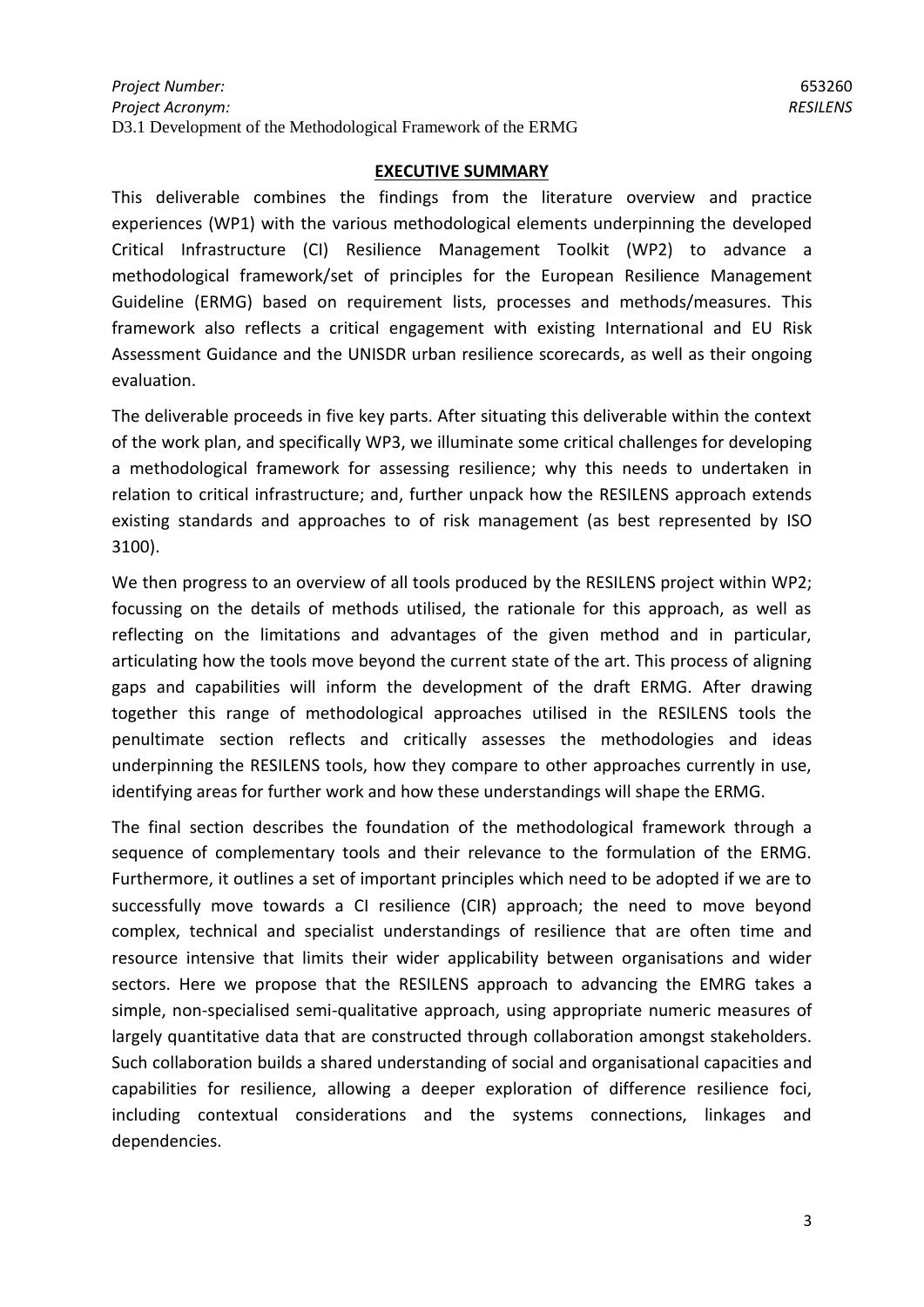#### **EXECUTIVE SUMMARY**

This deliverable combines the findings from the literature overview and practice experiences (WP1) with the various methodological elements underpinning the developed Critical Infrastructure (CI) Resilience Management Toolkit (WP2) to advance a methodological framework/set of principles for the European Resilience Management Guideline (ERMG) based on requirement lists, processes and methods/measures. This framework also reflects a critical engagement with existing International and EU Risk Assessment Guidance and the UNISDR urban resilience scorecards, as well as their ongoing evaluation.

The deliverable proceeds in five key parts. After situating this deliverable within the context of the work plan, and specifically WP3, we illuminate some critical challenges for developing a methodological framework for assessing resilience; why this needs to undertaken in relation to critical infrastructure; and, further unpack how the RESILENS approach extends existing standards and approaches to of risk management (as best represented by ISO 3100).

We then progress to an overview of all tools produced by the RESILENS project within WP2; focussing on the details of methods utilised, the rationale for this approach, as well as reflecting on the limitations and advantages of the given method and in particular, articulating how the tools move beyond the current state of the art. This process of aligning gaps and capabilities will inform the development of the draft ERMG. After drawing together this range of methodological approaches utilised in the RESILENS tools the penultimate section reflects and critically assesses the methodologies and ideas underpinning the RESILENS tools, how they compare to other approaches currently in use, identifying areas for further work and how these understandings will shape the ERMG.

The final section describes the foundation of the methodological framework through a sequence of complementary tools and their relevance to the formulation of the ERMG. Furthermore, it outlines a set of important principles which need to be adopted if we are to successfully move towards a CI resilience (CIR) approach; the need to move beyond complex, technical and specialist understandings of resilience that are often time and resource intensive that limits their wider applicability between organisations and wider sectors. Here we propose that the RESILENS approach to advancing the EMRG takes a simple, non-specialised semi-qualitative approach, using appropriate numeric measures of largely quantitative data that are constructed through collaboration amongst stakeholders. Such collaboration builds a shared understanding of social and organisational capacities and capabilities for resilience, allowing a deeper exploration of difference resilience foci, including contextual considerations and the systems connections, linkages and dependencies.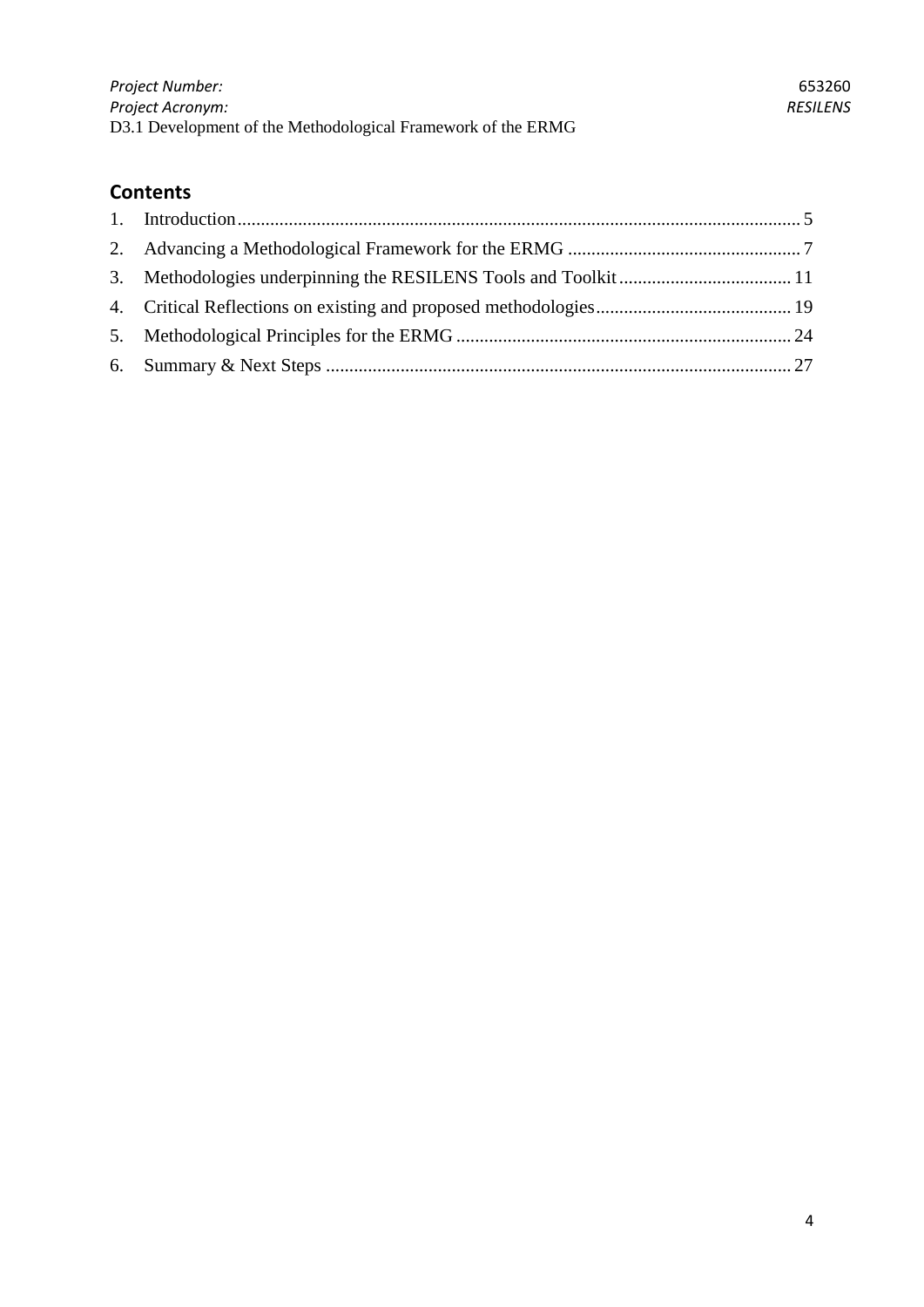# **Contents**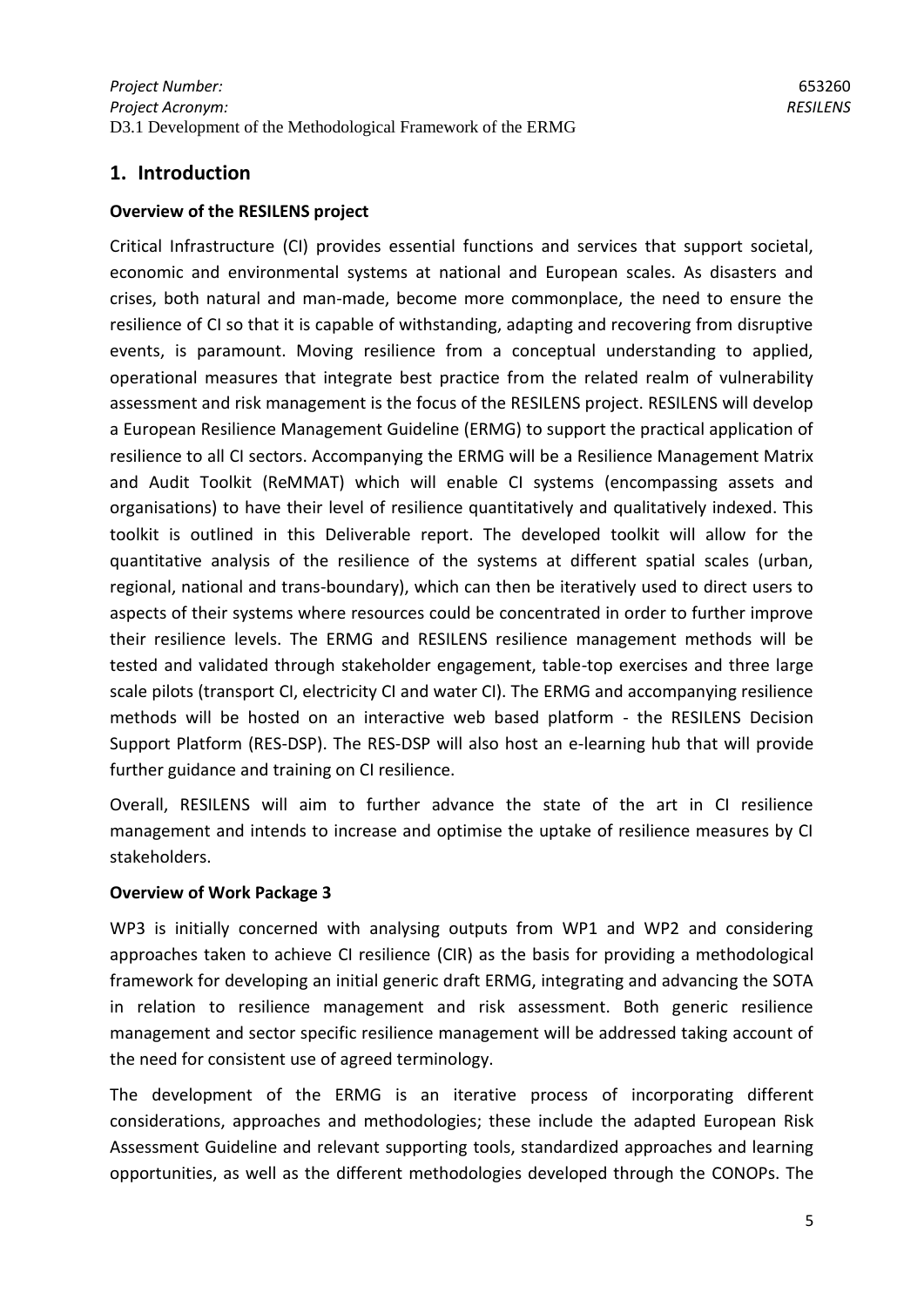# <span id="page-4-0"></span>**1. Introduction**

#### **Overview of the RESILENS project**

Critical Infrastructure (CI) provides essential functions and services that support societal, economic and environmental systems at national and European scales. As disasters and crises, both natural and man-made, become more commonplace, the need to ensure the resilience of CI so that it is capable of withstanding, adapting and recovering from disruptive events, is paramount. Moving resilience from a conceptual understanding to applied, operational measures that integrate best practice from the related realm of vulnerability assessment and risk management is the focus of the RESILENS project. RESILENS will develop a European Resilience Management Guideline (ERMG) to support the practical application of resilience to all CI sectors. Accompanying the ERMG will be a Resilience Management Matrix and Audit Toolkit (ReMMAT) which will enable CI systems (encompassing assets and organisations) to have their level of resilience quantitatively and qualitatively indexed. This toolkit is outlined in this Deliverable report. The developed toolkit will allow for the quantitative analysis of the resilience of the systems at different spatial scales (urban, regional, national and trans-boundary), which can then be iteratively used to direct users to aspects of their systems where resources could be concentrated in order to further improve their resilience levels. The ERMG and RESILENS resilience management methods will be tested and validated through stakeholder engagement, table-top exercises and three large scale pilots (transport CI, electricity CI and water CI). The ERMG and accompanying resilience methods will be hosted on an interactive web based platform - the RESILENS Decision Support Platform (RES-DSP). The RES-DSP will also host an e-learning hub that will provide further guidance and training on CI resilience.

Overall, RESILENS will aim to further advance the state of the art in CI resilience management and intends to increase and optimise the uptake of resilience measures by CI stakeholders.

#### **Overview of Work Package 3**

WP3 is initially concerned with analysing outputs from WP1 and WP2 and considering approaches taken to achieve CI resilience (CIR) as the basis for providing a methodological framework for developing an initial generic draft ERMG, integrating and advancing the SOTA in relation to resilience management and risk assessment. Both generic resilience management and sector specific resilience management will be addressed taking account of the need for consistent use of agreed terminology.

The development of the ERMG is an iterative process of incorporating different considerations, approaches and methodologies; these include the adapted European Risk Assessment Guideline and relevant supporting tools, standardized approaches and learning opportunities, as well as the different methodologies developed through the CONOPs. The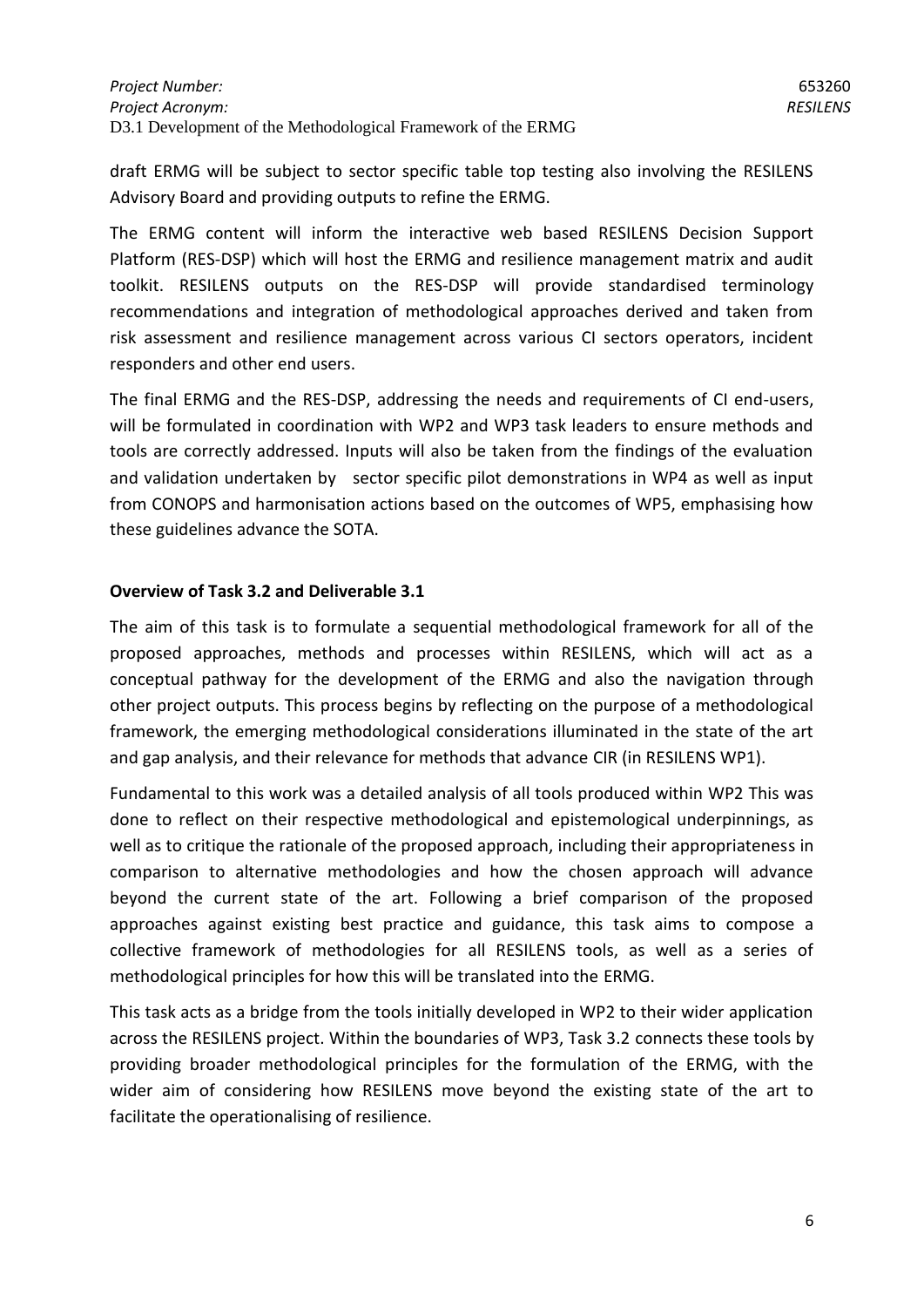draft ERMG will be subject to sector specific table top testing also involving the RESILENS Advisory Board and providing outputs to refine the ERMG.

The ERMG content will inform the interactive web based RESILENS Decision Support Platform (RES-DSP) which will host the ERMG and resilience management matrix and audit toolkit. RESILENS outputs on the RES-DSP will provide standardised terminology recommendations and integration of methodological approaches derived and taken from risk assessment and resilience management across various CI sectors operators, incident responders and other end users.

The final ERMG and the RES-DSP, addressing the needs and requirements of CI end-users, will be formulated in coordination with WP2 and WP3 task leaders to ensure methods and tools are correctly addressed. Inputs will also be taken from the findings of the evaluation and validation undertaken by sector specific pilot demonstrations in WP4 as well as input from CONOPS and harmonisation actions based on the outcomes of WP5, emphasising how these guidelines advance the SOTA.

## **Overview of Task 3.2 and Deliverable 3.1**

The aim of this task is to formulate a sequential methodological framework for all of the proposed approaches, methods and processes within RESILENS, which will act as a conceptual pathway for the development of the ERMG and also the navigation through other project outputs. This process begins by reflecting on the purpose of a methodological framework, the emerging methodological considerations illuminated in the state of the art and gap analysis, and their relevance for methods that advance CIR (in RESILENS WP1).

Fundamental to this work was a detailed analysis of all tools produced within WP2 This was done to reflect on their respective methodological and epistemological underpinnings, as well as to critique the rationale of the proposed approach, including their appropriateness in comparison to alternative methodologies and how the chosen approach will advance beyond the current state of the art. Following a brief comparison of the proposed approaches against existing best practice and guidance, this task aims to compose a collective framework of methodologies for all RESILENS tools, as well as a series of methodological principles for how this will be translated into the ERMG.

This task acts as a bridge from the tools initially developed in WP2 to their wider application across the RESILENS project. Within the boundaries of WP3, Task 3.2 connects these tools by providing broader methodological principles for the formulation of the ERMG, with the wider aim of considering how RESILENS move beyond the existing state of the art to facilitate the operationalising of resilience.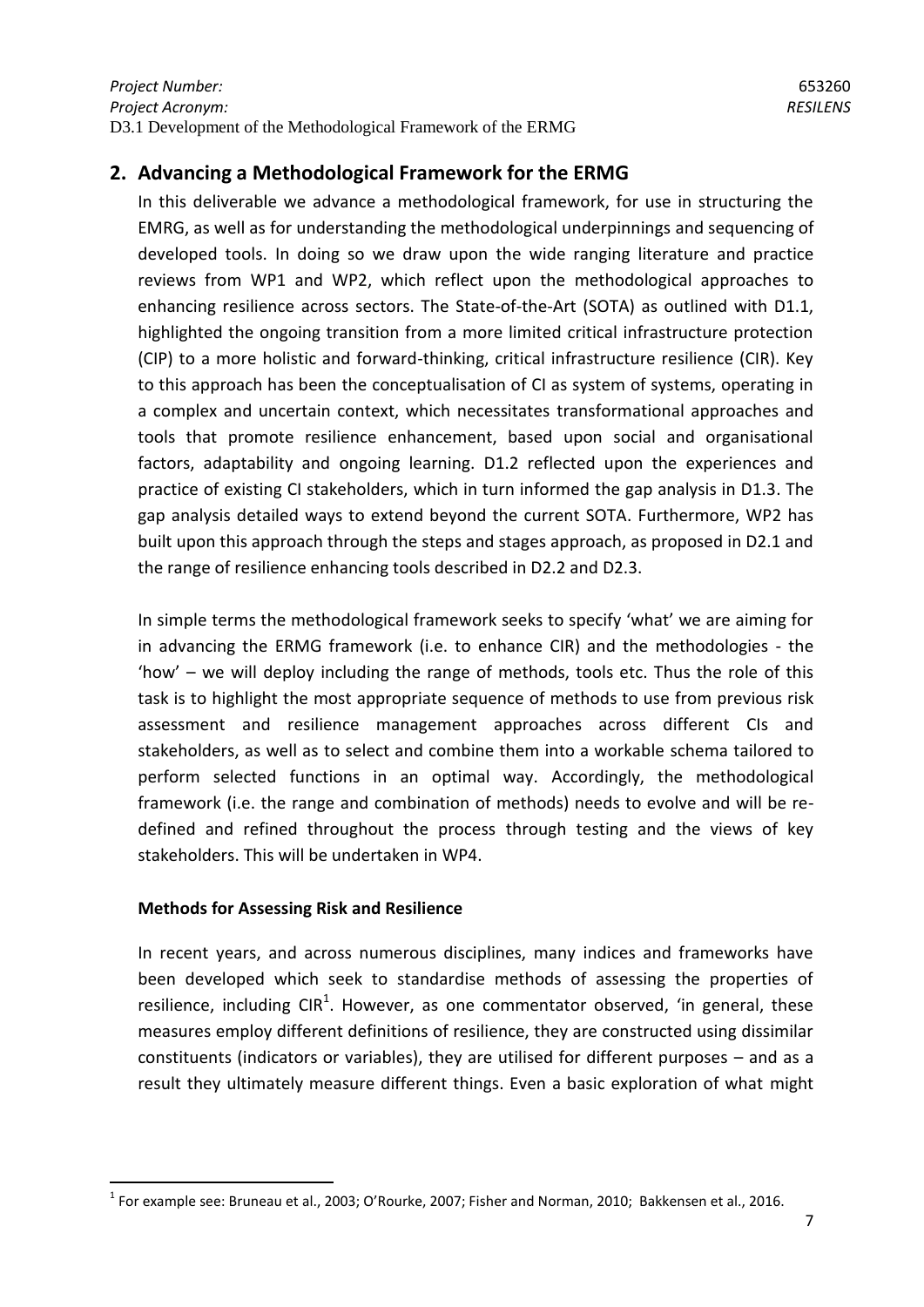# <span id="page-6-0"></span>**2. Advancing a Methodological Framework for the ERMG**

In this deliverable we advance a methodological framework, for use in structuring the EMRG, as well as for understanding the methodological underpinnings and sequencing of developed tools. In doing so we draw upon the wide ranging literature and practice reviews from WP1 and WP2, which reflect upon the methodological approaches to enhancing resilience across sectors. The State-of-the-Art (SOTA) as outlined with D1.1, highlighted the ongoing transition from a more limited critical infrastructure protection (CIP) to a more holistic and forward-thinking, critical infrastructure resilience (CIR). Key to this approach has been the conceptualisation of CI as system of systems, operating in a complex and uncertain context, which necessitates transformational approaches and tools that promote resilience enhancement, based upon social and organisational factors, adaptability and ongoing learning. D1.2 reflected upon the experiences and practice of existing CI stakeholders, which in turn informed the gap analysis in D1.3. The gap analysis detailed ways to extend beyond the current SOTA. Furthermore, WP2 has built upon this approach through the steps and stages approach, as proposed in D2.1 and the range of resilience enhancing tools described in D2.2 and D2.3.

In simple terms the methodological framework seeks to specify 'what' we are aiming for in advancing the ERMG framework (i.e. to enhance CIR) and the methodologies - the 'how' – we will deploy including the range of methods, tools etc. Thus the role of this task is to highlight the most appropriate sequence of methods to use from previous risk assessment and resilience management approaches across different CIs and stakeholders, as well as to select and combine them into a workable schema tailored to perform selected functions in an optimal way. Accordingly, the methodological framework (i.e. the range and combination of methods) needs to evolve and will be redefined and refined throughout the process through testing and the views of key stakeholders. This will be undertaken in WP4.

#### **Methods for Assessing Risk and Resilience**

1

In recent years, and across numerous disciplines, many indices and frameworks have been developed which seek to standardise methods of assessing the properties of resilience, including CIR<sup>1</sup>. However, as one commentator observed, 'in general, these measures employ different definitions of resilience, they are constructed using dissimilar constituents (indicators or variables), they are utilised for different purposes – and as a result they ultimately measure different things. Even a basic exploration of what might

 $^{1}$  For example see: Bruneau et al., 2003; O'Rourke, 2007; Fisher and Norman, 2010; Bakkensen et al., 2016.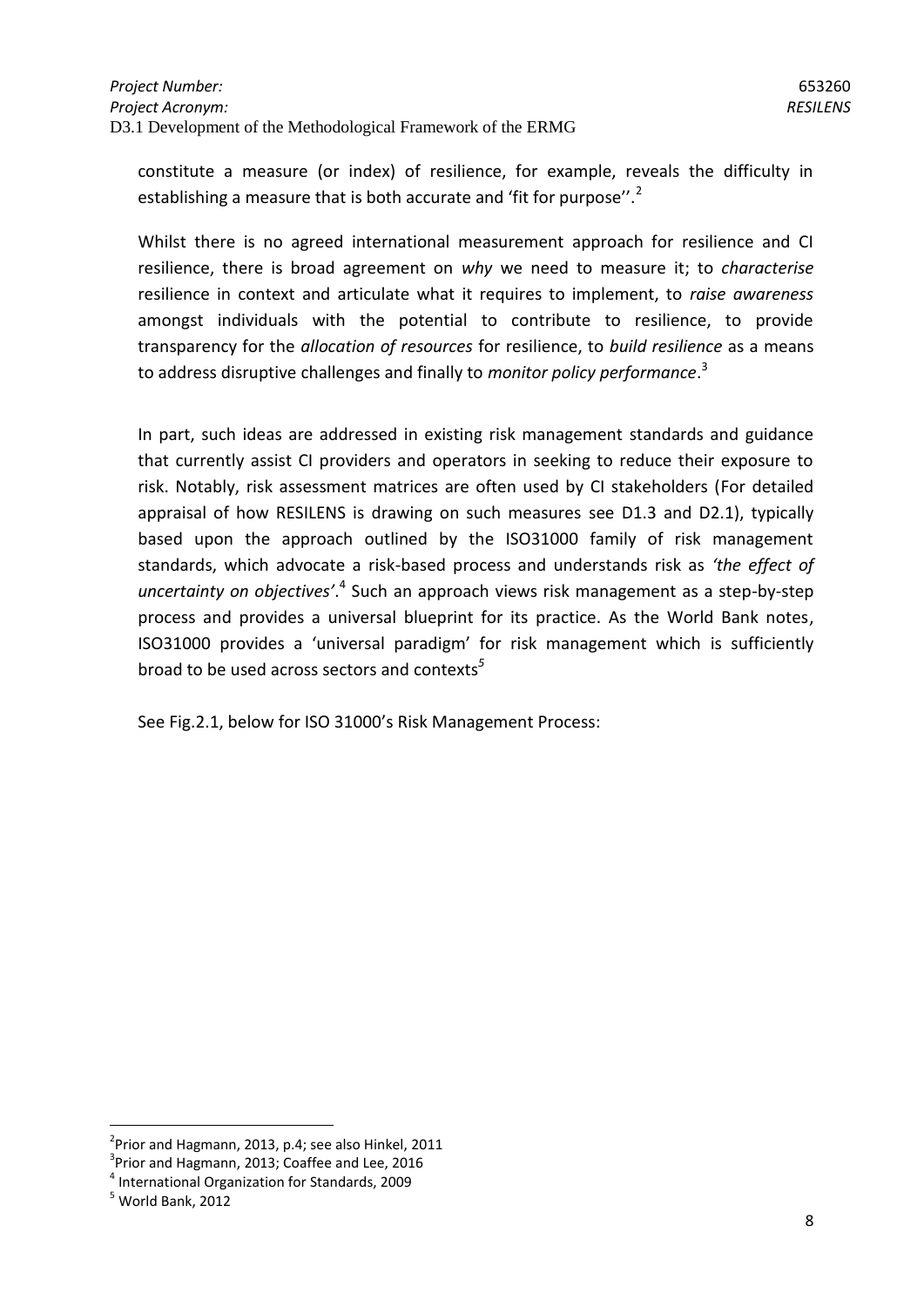constitute a measure (or index) of resilience, for example, reveals the difficulty in establishing a measure that is both accurate and 'fit for purpose''.<sup>2</sup>

Whilst there is no agreed international measurement approach for resilience and CI resilience, there is broad agreement on *why* we need to measure it; to *characterise* resilience in context and articulate what it requires to implement, to *raise awareness* amongst individuals with the potential to contribute to resilience, to provide transparency for the *allocation of resources* for resilience, to *build resilience* as a means to address disruptive challenges and finally to *monitor policy performance*. 3

In part, such ideas are addressed in existing risk management standards and guidance that currently assist CI providers and operators in seeking to reduce their exposure to risk. Notably, risk assessment matrices are often used by CI stakeholders (For detailed appraisal of how RESILENS is drawing on such measures see D1.3 and D2.1), typically based upon the approach outlined by the ISO31000 family of risk management standards, which advocate a risk-based process and understands risk as *'the effect of*  uncertainty on objectives<sup>'.4</sup> Such an approach views risk management as a step-by-step process and provides a universal blueprint for its practice. As the World Bank notes, ISO31000 provides a 'universal paradigm' for risk management which is sufficiently broad to be used across sectors and contexts*<sup>5</sup>*

See Fig.2.1, below for ISO 31000's Risk Management Process:

<u>.</u>

 $2$ Prior and Hagmann, 2013, p.4; see also Hinkel, 2011

 $3$ Prior and Hagmann, 2013; Coaffee and Lee, 2016

<sup>4</sup> International Organization for Standards, 2009

 $<sup>5</sup>$  World Bank, 2012</sup>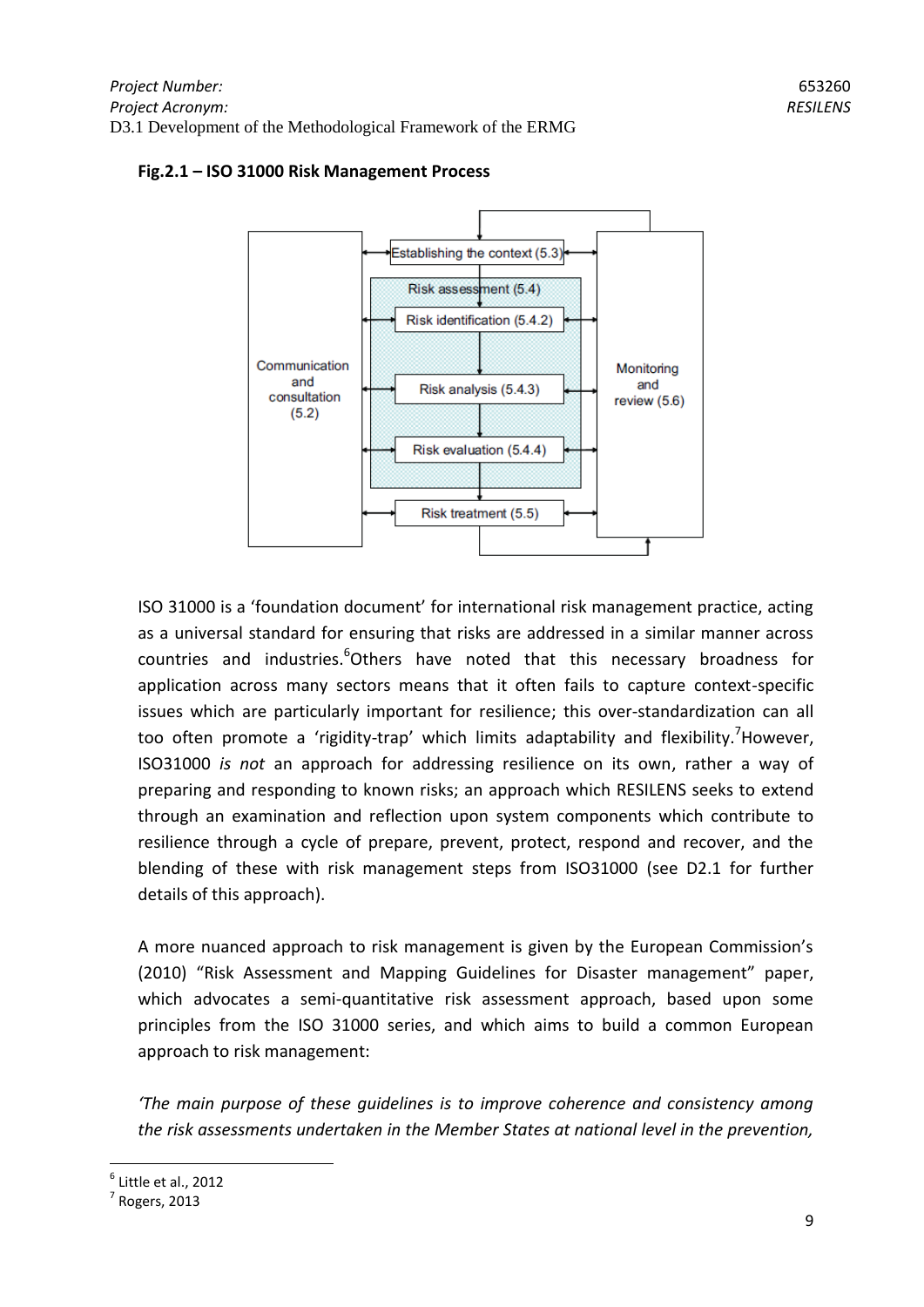

## **Fig.2.1 – ISO 31000 Risk Management Process**

ISO 31000 is a 'foundation document' for international risk management practice, acting as a universal standard for ensuring that risks are addressed in a similar manner across countries and industries.<sup>6</sup>Others have noted that this necessary broadness for application across many sectors means that it often fails to capture context-specific issues which are particularly important for resilience; this over-standardization can all too often promote a 'rigidity-trap' which limits adaptability and flexibility.<sup>7</sup>However, ISO31000 *is not* an approach for addressing resilience on its own, rather a way of preparing and responding to known risks; an approach which RESILENS seeks to extend through an examination and reflection upon system components which contribute to resilience through a cycle of prepare, prevent, protect, respond and recover, and the blending of these with risk management steps from ISO31000 (see D2.1 for further details of this approach).

A more nuanced approach to risk management is given by the European Commission's (2010) "Risk Assessment and Mapping Guidelines for Disaster management" paper, which advocates a semi-quantitative risk assessment approach, based upon some principles from the ISO 31000 series, and which aims to build a common European approach to risk management:

*'The main purpose of these guidelines is to improve coherence and consistency among the risk assessments undertaken in the Member States at national level in the prevention,* 

 $<sup>6</sup>$  Little et al., 2012</sup>

 $<sup>7</sup>$  Rogers, 2013</sup>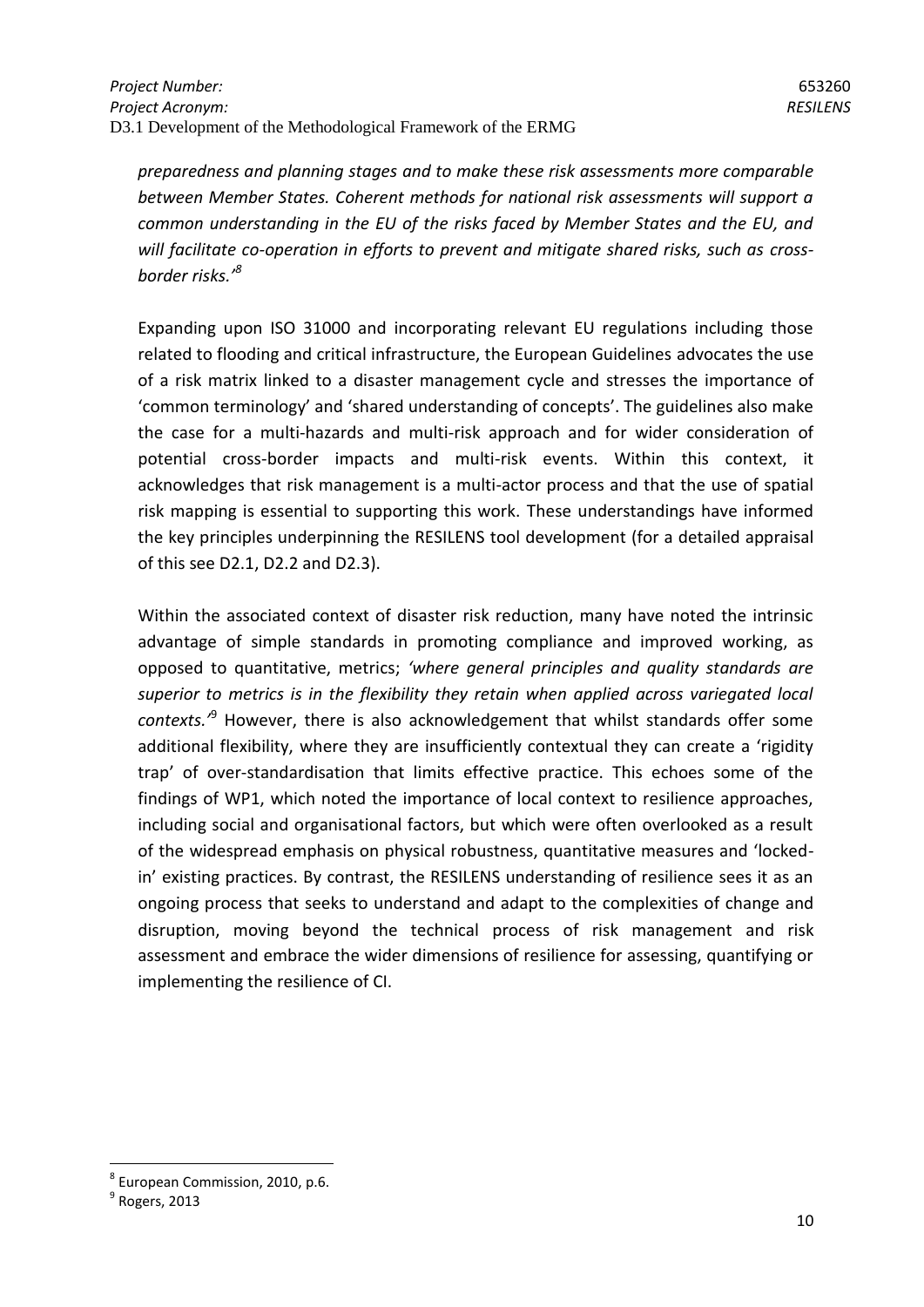*preparedness and planning stages and to make these risk assessments more comparable between Member States. Coherent methods for national risk assessments will support a common understanding in the EU of the risks faced by Member States and the EU, and will facilitate co-operation in efforts to prevent and mitigate shared risks, such as crossborder risks.'<sup>8</sup>*

Expanding upon ISO 31000 and incorporating relevant EU regulations including those related to flooding and critical infrastructure, the European Guidelines advocates the use of a risk matrix linked to a disaster management cycle and stresses the importance of 'common terminology' and 'shared understanding of concepts'. The guidelines also make the case for a multi-hazards and multi-risk approach and for wider consideration of potential cross-border impacts and multi-risk events. Within this context, it acknowledges that risk management is a multi-actor process and that the use of spatial risk mapping is essential to supporting this work. These understandings have informed the key principles underpinning the RESILENS tool development (for a detailed appraisal of this see D2.1, D2.2 and D2.3).

Within the associated context of disaster risk reduction, many have noted the intrinsic advantage of simple standards in promoting compliance and improved working, as opposed to quantitative, metrics; *'where general principles and quality standards are superior to metrics is in the flexibility they retain when applied across variegated local contexts.'*<sup>9</sup> However, there is also acknowledgement that whilst standards offer some additional flexibility, where they are insufficiently contextual they can create a 'rigidity trap' of over-standardisation that limits effective practice. This echoes some of the findings of WP1, which noted the importance of local context to resilience approaches, including social and organisational factors, but which were often overlooked as a result of the widespread emphasis on physical robustness, quantitative measures and 'lockedin' existing practices. By contrast, the RESILENS understanding of resilience sees it as an ongoing process that seeks to understand and adapt to the complexities of change and disruption, moving beyond the technical process of risk management and risk assessment and embrace the wider dimensions of resilience for assessing, quantifying or implementing the resilience of CI.

<sup>8</sup> European Commission, 2010, p.6.

 $<sup>9</sup>$  Rogers, 2013</sup>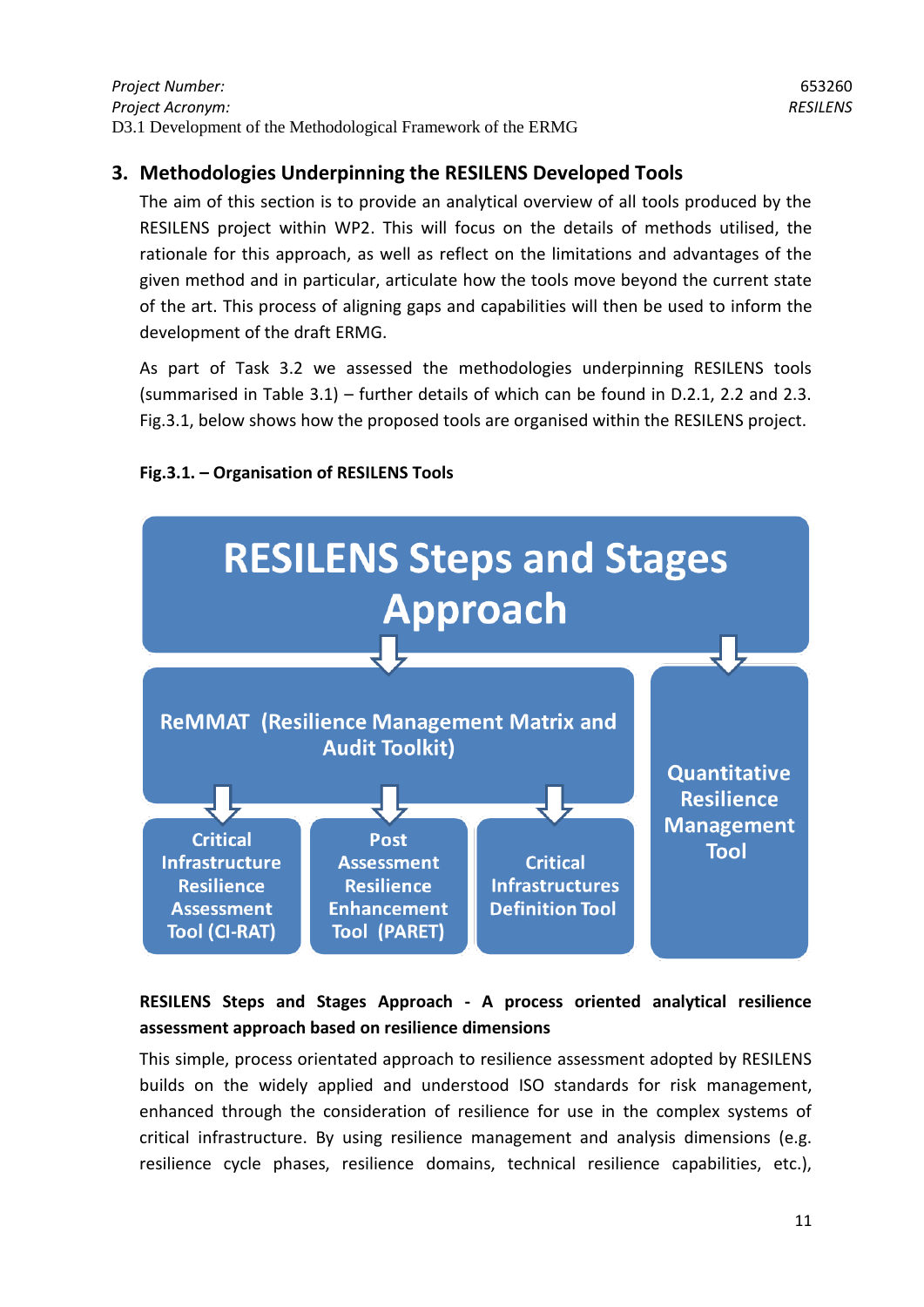# <span id="page-10-0"></span>**3. Methodologies Underpinning the RESILENS Developed Tools**

The aim of this section is to provide an analytical overview of all tools produced by the RESILENS project within WP2. This will focus on the details of methods utilised, the rationale for this approach, as well as reflect on the limitations and advantages of the given method and in particular, articulate how the tools move beyond the current state of the art. This process of aligning gaps and capabilities will then be used to inform the development of the draft ERMG.

As part of Task 3.2 we assessed the methodologies underpinning RESILENS tools (summarised in Table 3.1) – further details of which can be found in D.2.1, 2.2 and 2.3. Fig.3.1, below shows how the proposed tools are organised within the RESILENS project.



# **Fig.3.1. – Organisation of RESILENS Tools**

# **RESILENS Steps and Stages Approach - A process oriented analytical resilience assessment approach based on resilience dimensions**

This simple, process orientated approach to resilience assessment adopted by RESILENS builds on the widely applied and understood ISO standards for risk management, enhanced through the consideration of resilience for use in the complex systems of critical infrastructure. By using resilience management and analysis dimensions (e.g. resilience cycle phases, resilience domains, technical resilience capabilities, etc.),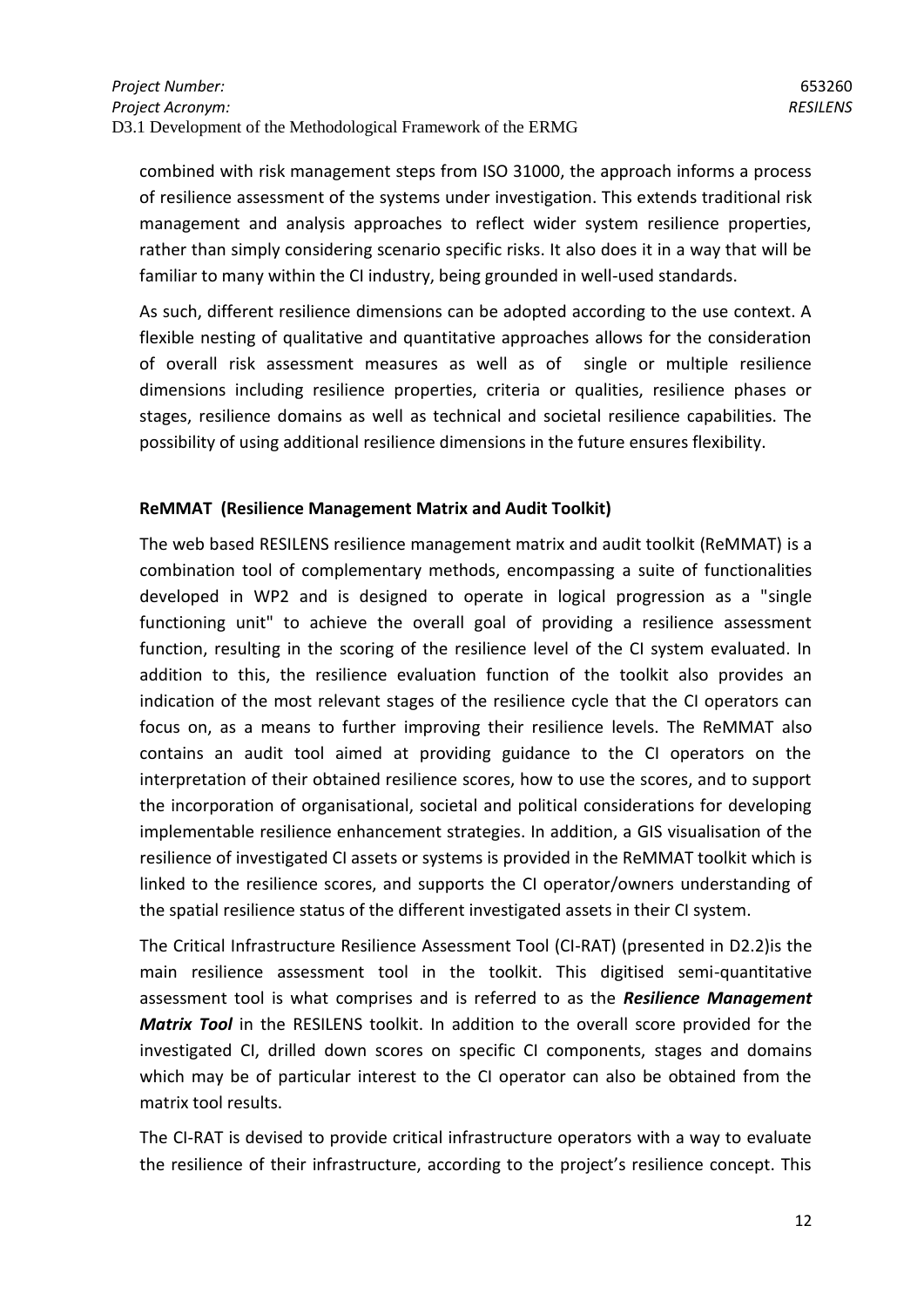combined with risk management steps from ISO 31000, the approach informs a process of resilience assessment of the systems under investigation. This extends traditional risk management and analysis approaches to reflect wider system resilience properties, rather than simply considering scenario specific risks. It also does it in a way that will be familiar to many within the CI industry, being grounded in well-used standards.

As such, different resilience dimensions can be adopted according to the use context. A flexible nesting of qualitative and quantitative approaches allows for the consideration of overall risk assessment measures as well as of single or multiple resilience dimensions including resilience properties, criteria or qualities, resilience phases or stages, resilience domains as well as technical and societal resilience capabilities. The possibility of using additional resilience dimensions in the future ensures flexibility.

## **ReMMAT (Resilience Management Matrix and Audit Toolkit)**

The web based RESILENS resilience management matrix and audit toolkit (ReMMAT) is a combination tool of complementary methods, encompassing a suite of functionalities developed in WP2 and is designed to operate in logical progression as a "single functioning unit" to achieve the overall goal of providing a resilience assessment function, resulting in the scoring of the resilience level of the CI system evaluated. In addition to this, the resilience evaluation function of the toolkit also provides an indication of the most relevant stages of the resilience cycle that the CI operators can focus on, as a means to further improving their resilience levels. The ReMMAT also contains an audit tool aimed at providing guidance to the CI operators on the interpretation of their obtained resilience scores, how to use the scores, and to support the incorporation of organisational, societal and political considerations for developing implementable resilience enhancement strategies. In addition, a GIS visualisation of the resilience of investigated CI assets or systems is provided in the ReMMAT toolkit which is linked to the resilience scores, and supports the CI operator/owners understanding of the spatial resilience status of the different investigated assets in their CI system.

The Critical Infrastructure Resilience Assessment Tool (CI-RAT) (presented in D2.2)is the main resilience assessment tool in the toolkit. This digitised semi-quantitative assessment tool is what comprises and is referred to as the *Resilience Management Matrix Tool* in the RESILENS toolkit. In addition to the overall score provided for the investigated CI, drilled down scores on specific CI components, stages and domains which may be of particular interest to the CI operator can also be obtained from the matrix tool results.

The CI-RAT is devised to provide critical infrastructure operators with a way to evaluate the resilience of their infrastructure, according to the project's resilience concept. This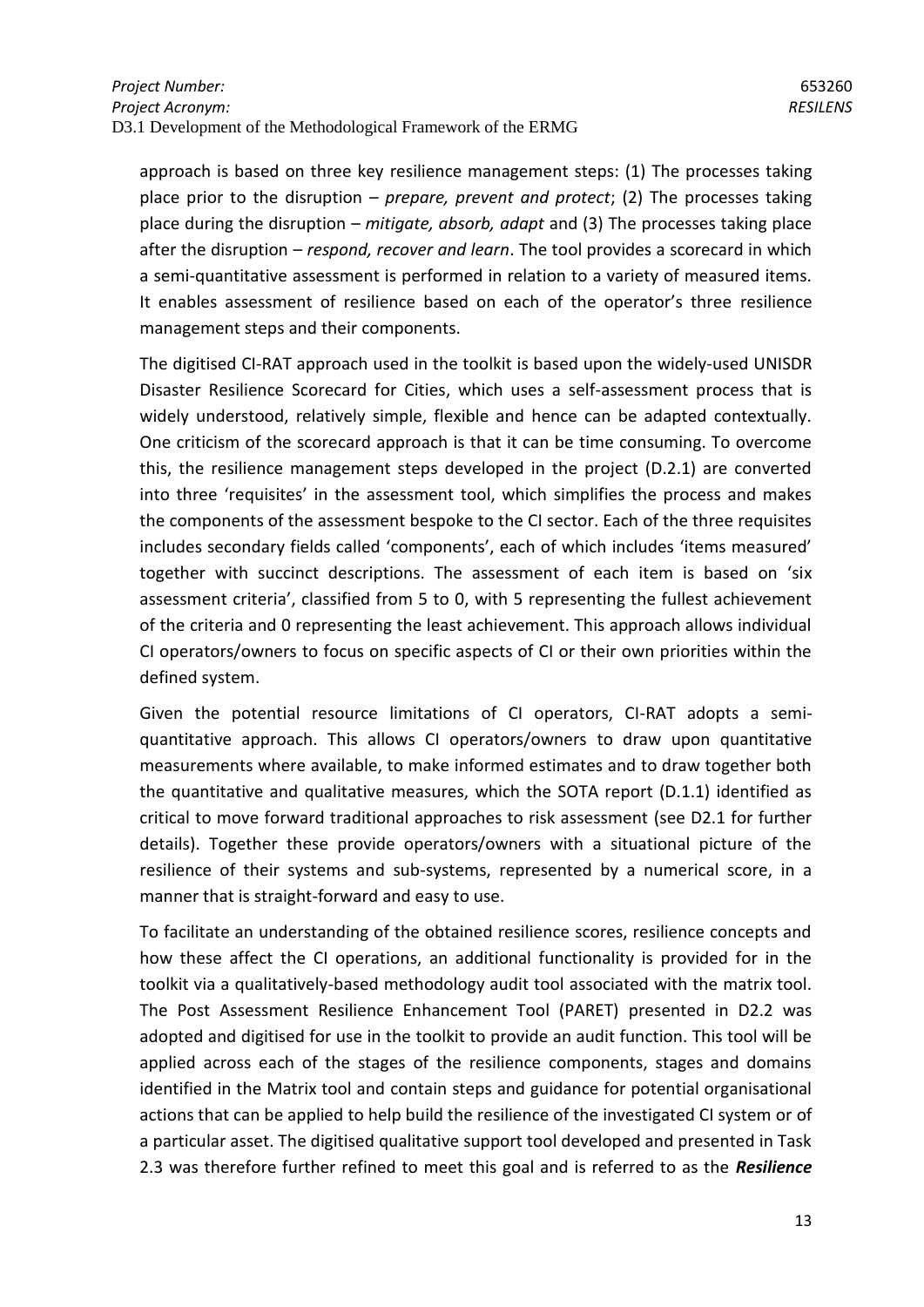approach is based on three key resilience management steps: (1) The processes taking place prior to the disruption – *prepare, prevent and protect*; (2) The processes taking place during the disruption – *mitigate, absorb, adapt* and (3) The processes taking place after the disruption – *respond, recover and learn*. The tool provides a scorecard in which a semi-quantitative assessment is performed in relation to a variety of measured items. It enables assessment of resilience based on each of the operator's three resilience management steps and their components.

The digitised CI-RAT approach used in the toolkit is based upon the widely-used UNISDR Disaster Resilience Scorecard for Cities, which uses a self-assessment process that is widely understood, relatively simple, flexible and hence can be adapted contextually. One criticism of the scorecard approach is that it can be time consuming. To overcome this, the resilience management steps developed in the project (D.2.1) are converted into three 'requisites' in the assessment tool, which simplifies the process and makes the components of the assessment bespoke to the CI sector. Each of the three requisites includes secondary fields called 'components', each of which includes 'items measured' together with succinct descriptions. The assessment of each item is based on 'six assessment criteria', classified from 5 to 0, with 5 representing the fullest achievement of the criteria and 0 representing the least achievement. This approach allows individual CI operators/owners to focus on specific aspects of CI or their own priorities within the defined system.

Given the potential resource limitations of CI operators, CI-RAT adopts a semiquantitative approach. This allows CI operators/owners to draw upon quantitative measurements where available, to make informed estimates and to draw together both the quantitative and qualitative measures, which the SOTA report (D.1.1) identified as critical to move forward traditional approaches to risk assessment (see D2.1 for further details). Together these provide operators/owners with a situational picture of the resilience of their systems and sub-systems, represented by a numerical score, in a manner that is straight-forward and easy to use.

To facilitate an understanding of the obtained resilience scores, resilience concepts and how these affect the CI operations, an additional functionality is provided for in the toolkit via a qualitatively-based methodology audit tool associated with the matrix tool. The Post Assessment Resilience Enhancement Tool (PARET) presented in D2.2 was adopted and digitised for use in the toolkit to provide an audit function. This tool will be applied across each of the stages of the resilience components, stages and domains identified in the Matrix tool and contain steps and guidance for potential organisational actions that can be applied to help build the resilience of the investigated CI system or of a particular asset. The digitised qualitative support tool developed and presented in Task 2.3 was therefore further refined to meet this goal and is referred to as the *Resilience*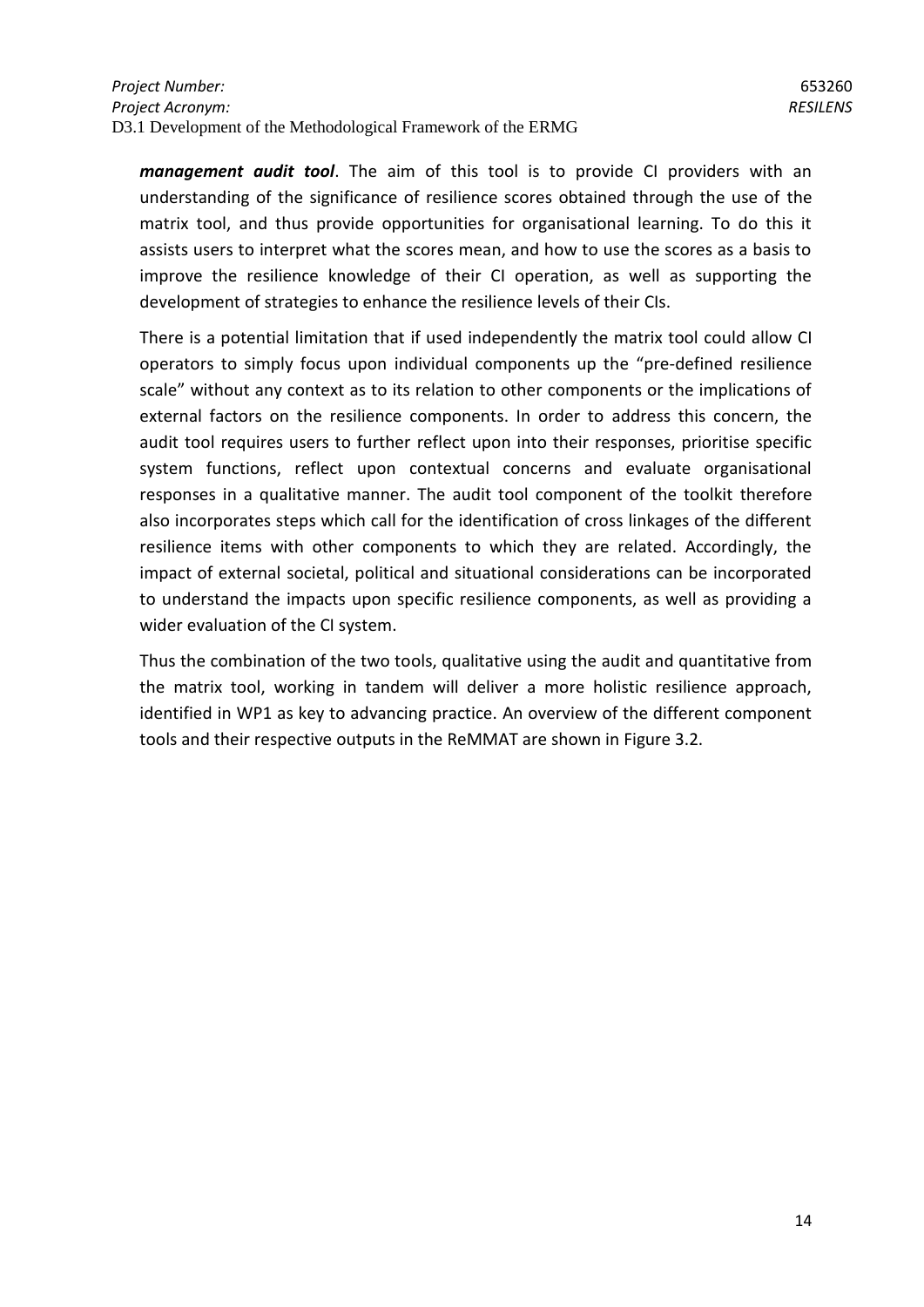*management audit tool*. The aim of this tool is to provide CI providers with an understanding of the significance of resilience scores obtained through the use of the matrix tool, and thus provide opportunities for organisational learning. To do this it assists users to interpret what the scores mean, and how to use the scores as a basis to improve the resilience knowledge of their CI operation, as well as supporting the development of strategies to enhance the resilience levels of their CIs.

There is a potential limitation that if used independently the matrix tool could allow CI operators to simply focus upon individual components up the "pre-defined resilience scale" without any context as to its relation to other components or the implications of external factors on the resilience components. In order to address this concern, the audit tool requires users to further reflect upon into their responses, prioritise specific system functions, reflect upon contextual concerns and evaluate organisational responses in a qualitative manner. The audit tool component of the toolkit therefore also incorporates steps which call for the identification of cross linkages of the different resilience items with other components to which they are related. Accordingly, the impact of external societal, political and situational considerations can be incorporated to understand the impacts upon specific resilience components, as well as providing a wider evaluation of the CI system.

Thus the combination of the two tools, qualitative using the audit and quantitative from the matrix tool, working in tandem will deliver a more holistic resilience approach, identified in WP1 as key to advancing practice. An overview of the different component tools and their respective outputs in the ReMMAT are shown in Figure 3.2.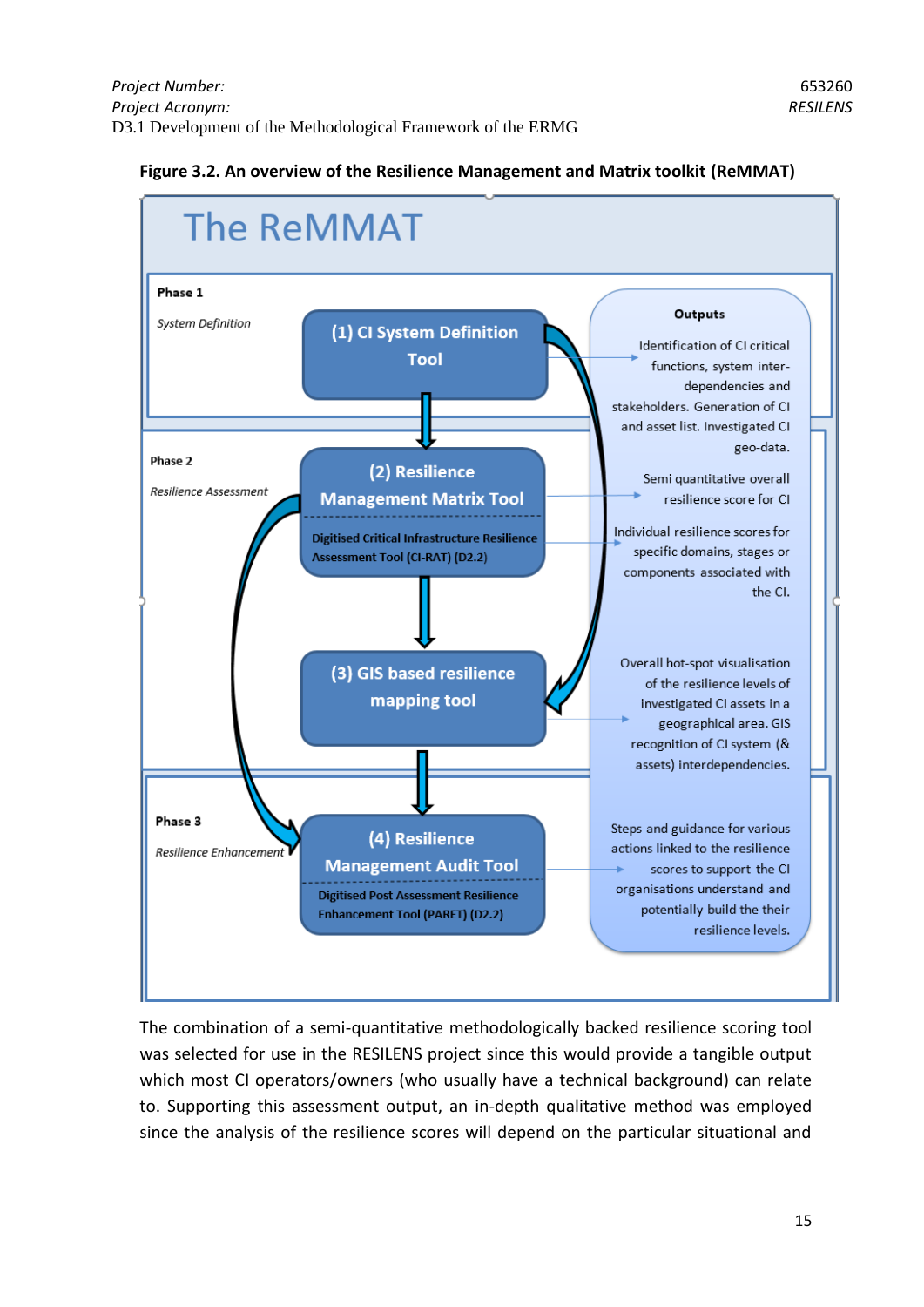#### **Figure 3.2. An overview of the Resilience Management and Matrix toolkit (ReMMAT)**



The combination of a semi-quantitative methodologically backed resilience scoring tool was selected for use in the RESILENS project since this would provide a tangible output which most CI operators/owners (who usually have a technical background) can relate to. Supporting this assessment output, an in-depth qualitative method was employed since the analysis of the resilience scores will depend on the particular situational and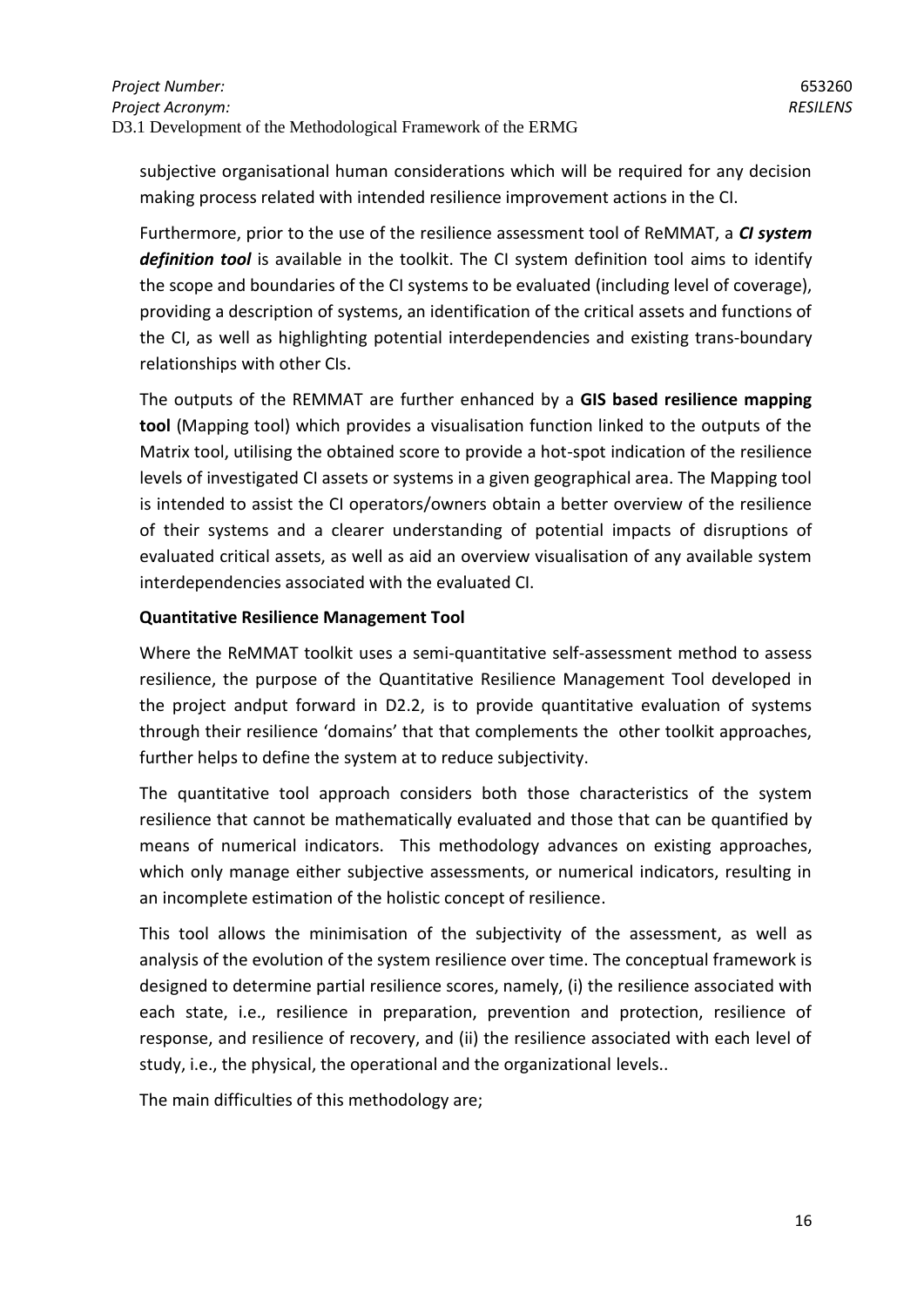subjective organisational human considerations which will be required for any decision making process related with intended resilience improvement actions in the CI.

Furthermore, prior to the use of the resilience assessment tool of ReMMAT, a *CI system definition tool* is available in the toolkit. The CI system definition tool aims to identify the scope and boundaries of the CI systems to be evaluated (including level of coverage), providing a description of systems, an identification of the critical assets and functions of the CI, as well as highlighting potential interdependencies and existing trans-boundary relationships with other CIs.

The outputs of the REMMAT are further enhanced by a **GIS based resilience mapping tool** (Mapping tool) which provides a visualisation function linked to the outputs of the Matrix tool, utilising the obtained score to provide a hot-spot indication of the resilience levels of investigated CI assets or systems in a given geographical area. The Mapping tool is intended to assist the CI operators/owners obtain a better overview of the resilience of their systems and a clearer understanding of potential impacts of disruptions of evaluated critical assets, as well as aid an overview visualisation of any available system interdependencies associated with the evaluated CI.

## **Quantitative Resilience Management Tool**

Where the ReMMAT toolkit uses a semi-quantitative self-assessment method to assess resilience, the purpose of the Quantitative Resilience Management Tool developed in the project andput forward in D2.2, is to provide quantitative evaluation of systems through their resilience 'domains' that that complements the other toolkit approaches, further helps to define the system at to reduce subjectivity.

The quantitative tool approach considers both those characteristics of the system resilience that cannot be mathematically evaluated and those that can be quantified by means of numerical indicators. This methodology advances on existing approaches, which only manage either subjective assessments, or numerical indicators, resulting in an incomplete estimation of the holistic concept of resilience.

This tool allows the minimisation of the subjectivity of the assessment, as well as analysis of the evolution of the system resilience over time. The conceptual framework is designed to determine partial resilience scores, namely, (i) the resilience associated with each state, i.e., resilience in preparation, prevention and protection, resilience of response, and resilience of recovery, and (ii) the resilience associated with each level of study, i.e., the physical, the operational and the organizational levels..

The main difficulties of this methodology are;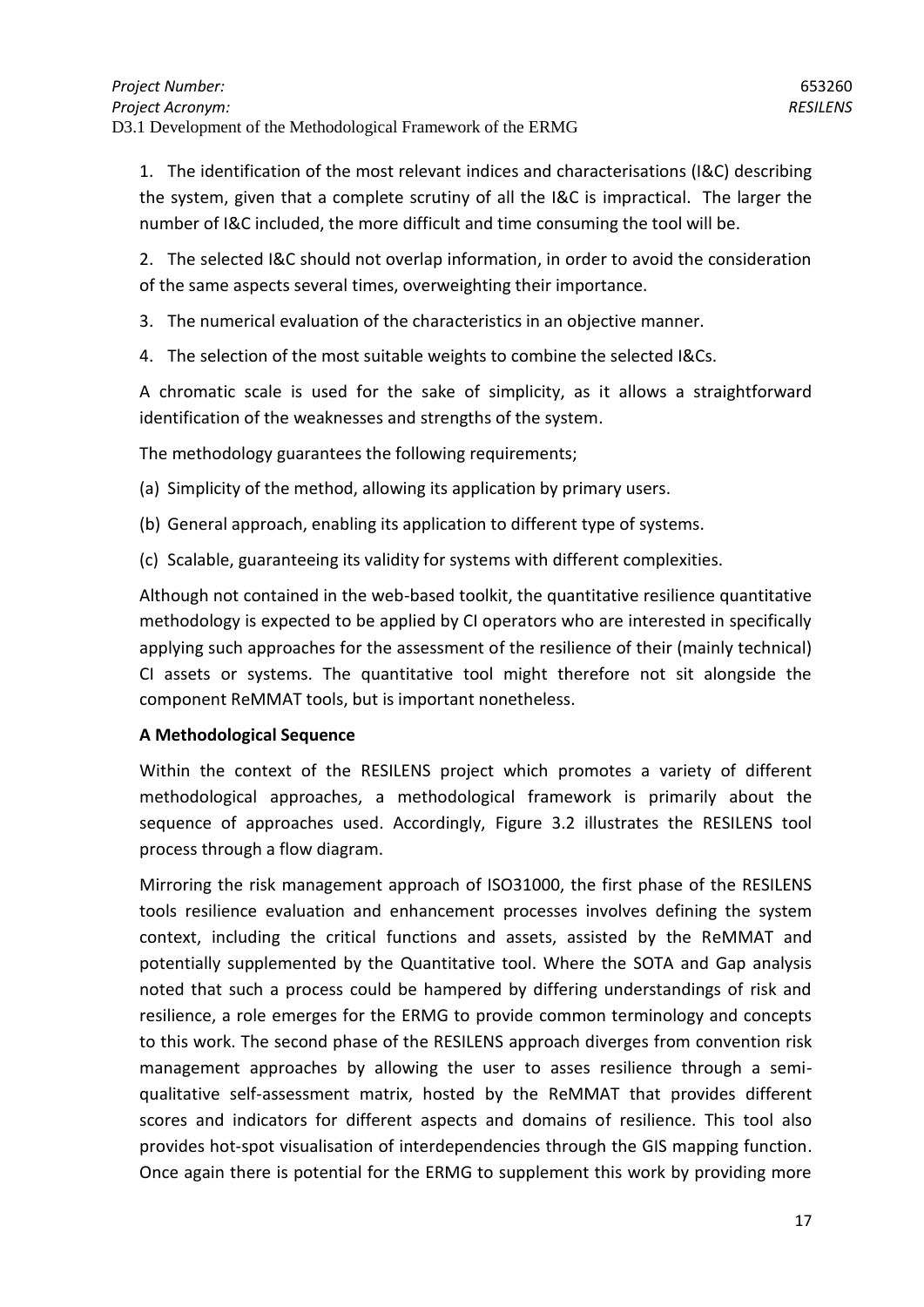1. The identification of the most relevant indices and characterisations (I&C) describing the system, given that a complete scrutiny of all the I&C is impractical. The larger the number of I&C included, the more difficult and time consuming the tool will be.

2. The selected I&C should not overlap information, in order to avoid the consideration of the same aspects several times, overweighting their importance.

- 3. The numerical evaluation of the characteristics in an objective manner.
- 4. The selection of the most suitable weights to combine the selected I&Cs.

A chromatic scale is used for the sake of simplicity, as it allows a straightforward identification of the weaknesses and strengths of the system.

The methodology guarantees the following requirements;

(a) Simplicity of the method, allowing its application by primary users.

- (b) General approach, enabling its application to different type of systems.
- (c) Scalable, guaranteeing its validity for systems with different complexities.

Although not contained in the web-based toolkit, the quantitative resilience quantitative methodology is expected to be applied by CI operators who are interested in specifically applying such approaches for the assessment of the resilience of their (mainly technical) CI assets or systems. The quantitative tool might therefore not sit alongside the component ReMMAT tools, but is important nonetheless.

#### **A Methodological Sequence**

Within the context of the RESILENS project which promotes a variety of different methodological approaches, a methodological framework is primarily about the sequence of approaches used. Accordingly, Figure 3.2 illustrates the RESILENS tool process through a flow diagram.

Mirroring the risk management approach of ISO31000, the first phase of the RESILENS tools resilience evaluation and enhancement processes involves defining the system context, including the critical functions and assets, assisted by the ReMMAT and potentially supplemented by the Quantitative tool. Where the SOTA and Gap analysis noted that such a process could be hampered by differing understandings of risk and resilience, a role emerges for the ERMG to provide common terminology and concepts to this work. The second phase of the RESILENS approach diverges from convention risk management approaches by allowing the user to asses resilience through a semiqualitative self-assessment matrix, hosted by the ReMMAT that provides different scores and indicators for different aspects and domains of resilience. This tool also provides hot-spot visualisation of interdependencies through the GIS mapping function. Once again there is potential for the ERMG to supplement this work by providing more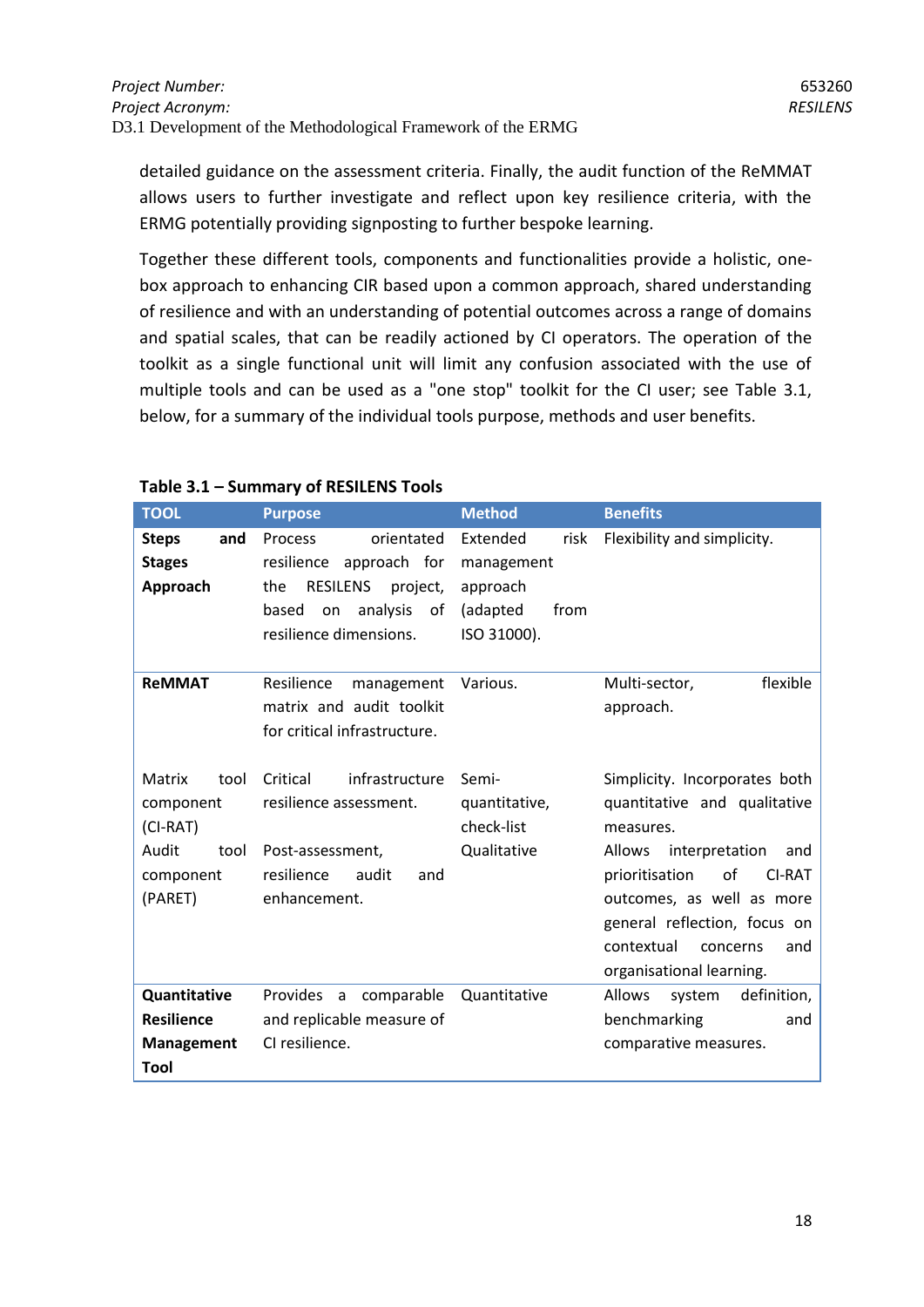detailed guidance on the assessment criteria. Finally, the audit function of the ReMMAT allows users to further investigate and reflect upon key resilience criteria, with the ERMG potentially providing signposting to further bespoke learning.

Together these different tools, components and functionalities provide a holistic, onebox approach to enhancing CIR based upon a common approach, shared understanding of resilience and with an understanding of potential outcomes across a range of domains and spatial scales, that can be readily actioned by CI operators. The operation of the toolkit as a single functional unit will limit any confusion associated with the use of multiple tools and can be used as a "one stop" toolkit for the CI user; see Table 3.1, below, for a summary of the individual tools purpose, methods and user benefits.

| <b>TOOL</b>                                                                        | <b>Purpose</b>                                                                                                                                           | <b>Method</b>                                                                 | <b>Benefits</b>                                                                                                                                                                                                            |
|------------------------------------------------------------------------------------|----------------------------------------------------------------------------------------------------------------------------------------------------------|-------------------------------------------------------------------------------|----------------------------------------------------------------------------------------------------------------------------------------------------------------------------------------------------------------------------|
| <b>Steps</b><br>and<br><b>Stages</b><br>Approach                                   | <b>Process</b><br>orientated<br>resilience approach for<br>the<br><b>RESILENS</b><br>project,<br>based<br>analysis<br>on<br>οf<br>resilience dimensions. | Extended<br>risk<br>management<br>approach<br>(adapted<br>from<br>ISO 31000). | Flexibility and simplicity.                                                                                                                                                                                                |
| <b>ReMMAT</b>                                                                      | Resilience<br>management<br>matrix and audit toolkit<br>for critical infrastructure.                                                                     | Various.                                                                      | flexible<br>Multi-sector,<br>approach.                                                                                                                                                                                     |
| Matrix<br>tool<br>component<br>$(CI-RAT)$<br>Audit<br>tool<br>component<br>(PARET) | Critical<br>infrastructure<br>resilience assessment.<br>Post-assessment,<br>resilience<br>audit<br>and<br>enhancement.                                   | Semi-<br>quantitative,<br>check-list<br>Qualitative                           | Simplicity. Incorporates both<br>quantitative and qualitative<br>measures.<br><b>Allows</b><br>interpretation<br>and<br>of<br>prioritisation<br><b>CI-RAT</b><br>outcomes, as well as more<br>general reflection, focus on |
|                                                                                    |                                                                                                                                                          |                                                                               | contextual<br>concerns<br>and<br>organisational learning.                                                                                                                                                                  |
| Quantitative                                                                       | Provides a comparable                                                                                                                                    | Quantitative                                                                  | Allows<br>system<br>definition,                                                                                                                                                                                            |
| <b>Resilience</b>                                                                  | and replicable measure of                                                                                                                                |                                                                               | benchmarking<br>and                                                                                                                                                                                                        |
| Management<br>Tool                                                                 | CI resilience.                                                                                                                                           |                                                                               | comparative measures.                                                                                                                                                                                                      |

## **Table 3.1 – Summary of RESILENS Tools**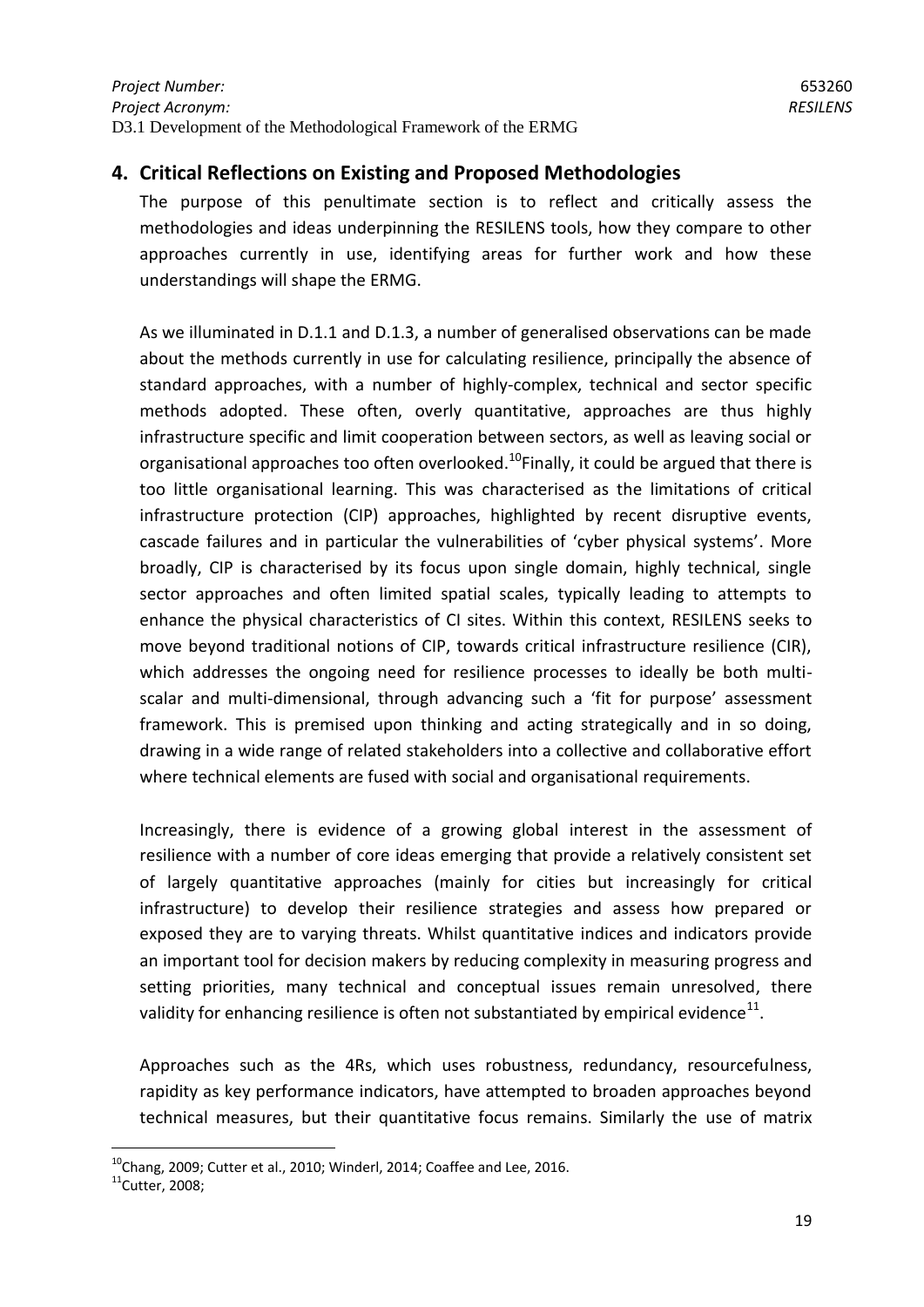# <span id="page-18-0"></span>**4. Critical Reflections on Existing and Proposed Methodologies**

The purpose of this penultimate section is to reflect and critically assess the methodologies and ideas underpinning the RESILENS tools, how they compare to other approaches currently in use, identifying areas for further work and how these understandings will shape the ERMG.

As we illuminated in D.1.1 and D.1.3, a number of generalised observations can be made about the methods currently in use for calculating resilience, principally the absence of standard approaches, with a number of highly-complex, technical and sector specific methods adopted. These often, overly quantitative, approaches are thus highly infrastructure specific and limit cooperation between sectors, as well as leaving social or organisational approaches too often overlooked.<sup>10</sup>Finally, it could be argued that there is too little organisational learning. This was characterised as the limitations of critical infrastructure protection (CIP) approaches, highlighted by recent disruptive events, cascade failures and in particular the vulnerabilities of 'cyber physical systems'. More broadly, CIP is characterised by its focus upon single domain, highly technical, single sector approaches and often limited spatial scales, typically leading to attempts to enhance the physical characteristics of CI sites. Within this context, RESILENS seeks to move beyond traditional notions of CIP, towards critical infrastructure resilience (CIR), which addresses the ongoing need for resilience processes to ideally be both multiscalar and multi-dimensional, through advancing such a 'fit for purpose' assessment framework. This is premised upon thinking and acting strategically and in so doing, drawing in a wide range of related stakeholders into a collective and collaborative effort where technical elements are fused with social and organisational requirements.

Increasingly, there is evidence of a growing global interest in the assessment of resilience with a number of core ideas emerging that provide a relatively consistent set of largely quantitative approaches (mainly for cities but increasingly for critical infrastructure) to develop their resilience strategies and assess how prepared or exposed they are to varying threats. Whilst quantitative indices and indicators provide an important tool for decision makers by reducing complexity in measuring progress and setting priorities, many technical and conceptual issues remain unresolved, there validity for enhancing resilience is often not substantiated by empirical evidence $^{11}$ .

Approaches such as the 4Rs, which uses robustness, redundancy, resourcefulness, rapidity as key performance indicators, have attempted to broaden approaches beyond technical measures, but their quantitative focus remains. Similarly the use of matrix

<u>.</u>

 $10$ Chang, 2009; Cutter et al., 2010; Winderl, 2014; Coaffee and Lee, 2016.

 $11$ Cutter, 2008;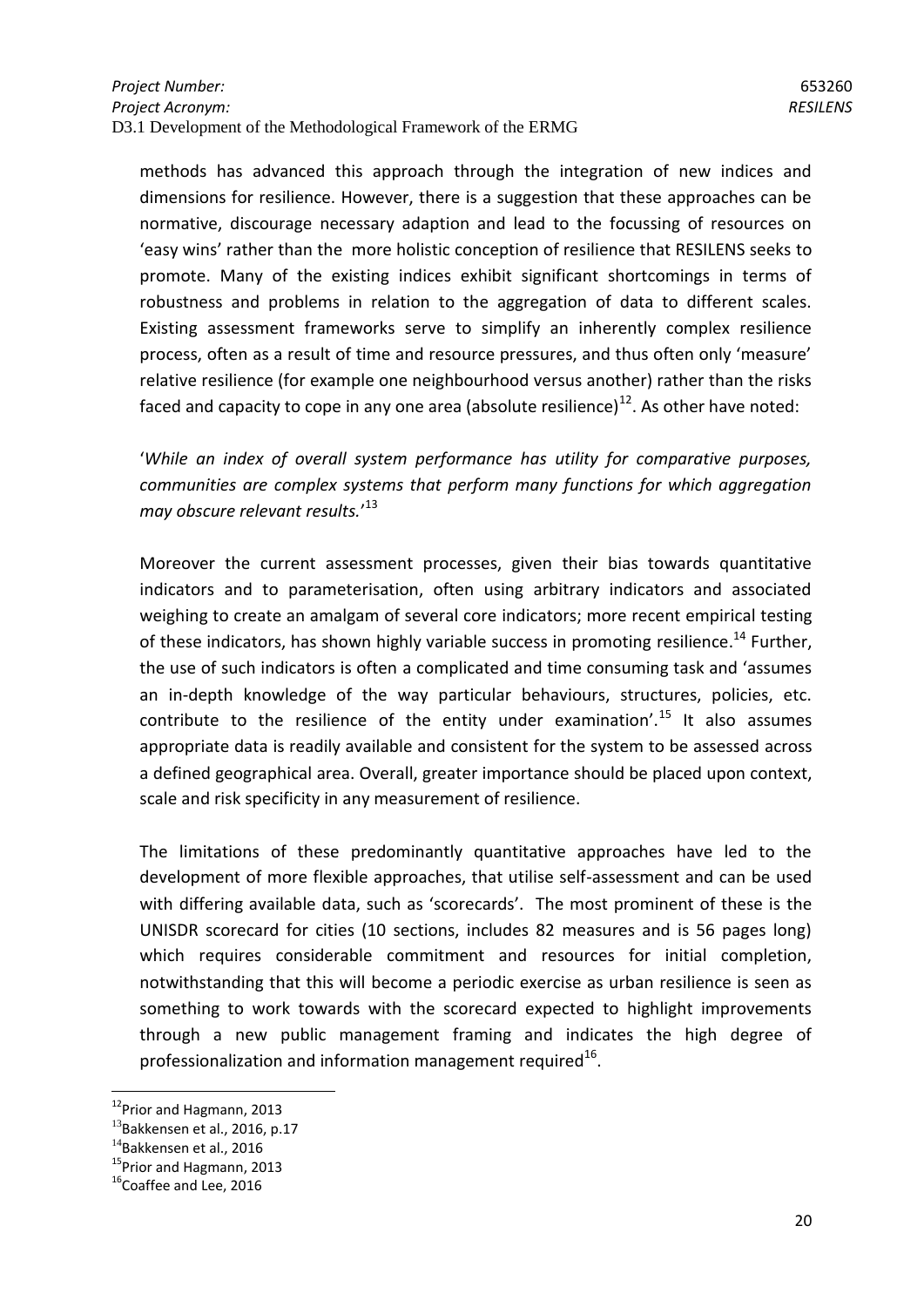methods has advanced this approach through the integration of new indices and dimensions for resilience. However, there is a suggestion that these approaches can be normative, discourage necessary adaption and lead to the focussing of resources on 'easy wins' rather than the more holistic conception of resilience that RESILENS seeks to promote. Many of the existing indices exhibit significant shortcomings in terms of robustness and problems in relation to the aggregation of data to different scales. Existing assessment frameworks serve to simplify an inherently complex resilience process, often as a result of time and resource pressures, and thus often only 'measure' relative resilience (for example one neighbourhood versus another) rather than the risks faced and capacity to cope in any one area (absolute resilience)<sup>12</sup>. As other have noted:

'*While an index of overall system performance has utility for comparative purposes, communities are complex systems that perform many functions for which aggregation may obscure relevant results.*' 13

Moreover the current assessment processes, given their bias towards quantitative indicators and to parameterisation, often using arbitrary indicators and associated weighing to create an amalgam of several core indicators; more recent empirical testing of these indicators, has shown highly variable success in promoting resilience.<sup>14</sup> Further, the use of such indicators is often a complicated and time consuming task and 'assumes an in-depth knowledge of the way particular behaviours, structures, policies, etc. contribute to the resilience of the entity under examination'.<sup>15</sup> It also assumes appropriate data is readily available and consistent for the system to be assessed across a defined geographical area. Overall, greater importance should be placed upon context, scale and risk specificity in any measurement of resilience.

The limitations of these predominantly quantitative approaches have led to the development of more flexible approaches, that utilise self-assessment and can be used with differing available data, such as 'scorecards'. The most prominent of these is the UNISDR scorecard for cities (10 sections, includes 82 measures and is 56 pages long) which requires considerable commitment and resources for initial completion, notwithstanding that this will become a periodic exercise as urban resilience is seen as something to work towards with the scorecard expected to highlight improvements through a new public management framing and indicates the high degree of professionalization and information management required $^{16}$ .

<sup>&</sup>lt;sup>12</sup>Prior and Hagmann, 2013

 $^{13}$ Bakkensen et al., 2016, p.17

<sup>&</sup>lt;sup>14</sup>Bakkensen et al., 2016

<sup>&</sup>lt;sup>15</sup>Prior and Hagmann, 2013

 $16$ Coaffee and Lee, 2016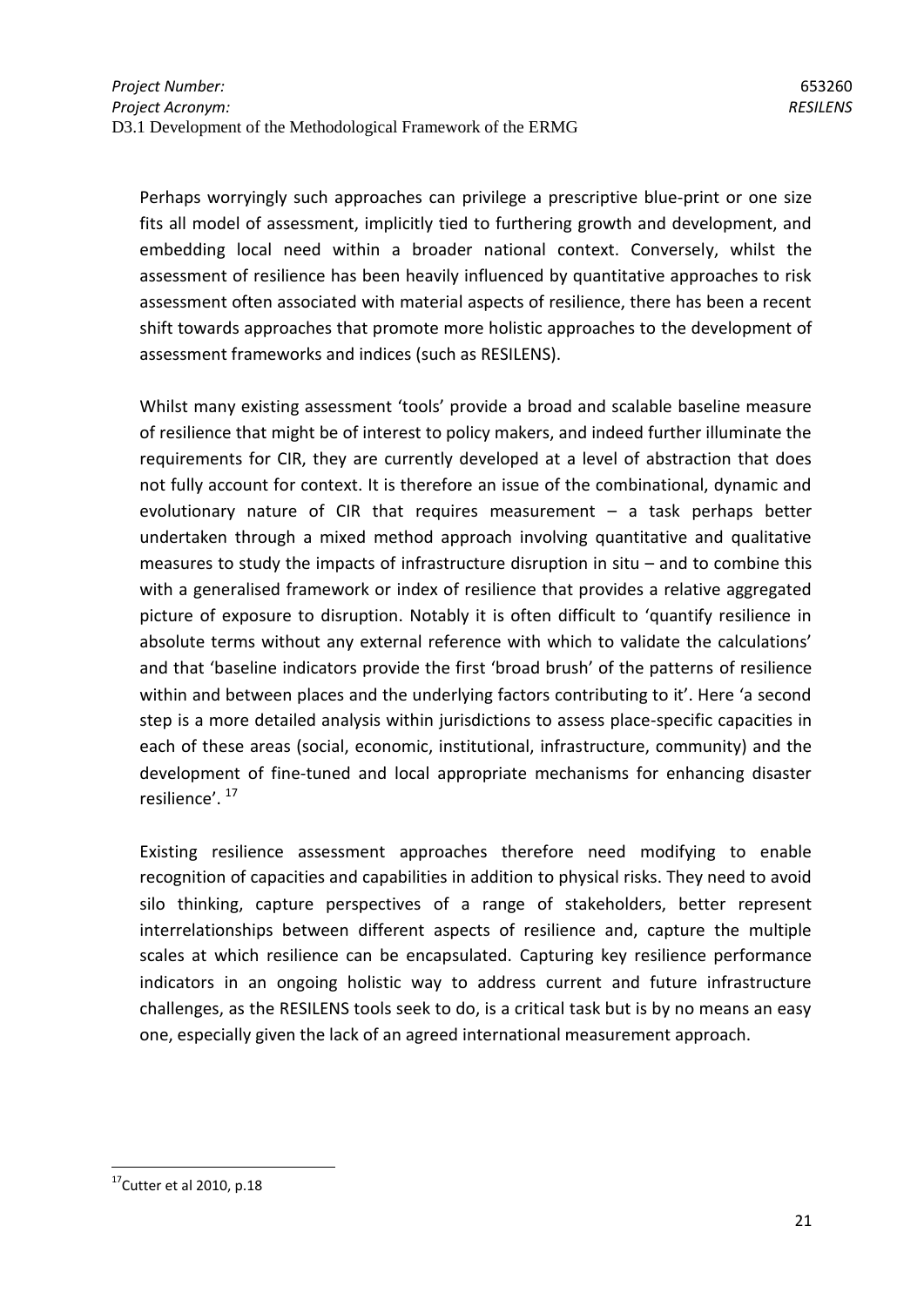Perhaps worryingly such approaches can privilege a prescriptive blue-print or one size fits all model of assessment, implicitly tied to furthering growth and development, and embedding local need within a broader national context. Conversely, whilst the assessment of resilience has been heavily influenced by quantitative approaches to risk assessment often associated with material aspects of resilience, there has been a recent shift towards approaches that promote more holistic approaches to the development of assessment frameworks and indices (such as RESILENS).

Whilst many existing assessment 'tools' provide a broad and scalable baseline measure of resilience that might be of interest to policy makers, and indeed further illuminate the requirements for CIR, they are currently developed at a level of abstraction that does not fully account for context. It is therefore an issue of the combinational, dynamic and evolutionary nature of CIR that requires measurement – a task perhaps better undertaken through a mixed method approach involving quantitative and qualitative measures to study the impacts of infrastructure disruption in situ – and to combine this with a generalised framework or index of resilience that provides a relative aggregated picture of exposure to disruption. Notably it is often difficult to 'quantify resilience in absolute terms without any external reference with which to validate the calculations' and that 'baseline indicators provide the first 'broad brush' of the patterns of resilience within and between places and the underlying factors contributing to it'. Here 'a second step is a more detailed analysis within jurisdictions to assess place-specific capacities in each of these areas (social, economic, institutional, infrastructure, community) and the development of fine-tuned and local appropriate mechanisms for enhancing disaster resilience'.<sup>17</sup>

Existing resilience assessment approaches therefore need modifying to enable recognition of capacities and capabilities in addition to physical risks. They need to avoid silo thinking, capture perspectives of a range of stakeholders, better represent interrelationships between different aspects of resilience and, capture the multiple scales at which resilience can be encapsulated. Capturing key resilience performance indicators in an ongoing holistic way to address current and future infrastructure challenges, as the RESILENS tools seek to do, is a critical task but is by no means an easy one, especially given the lack of an agreed international measurement approach.

 $17$ Cutter et al 2010, p.18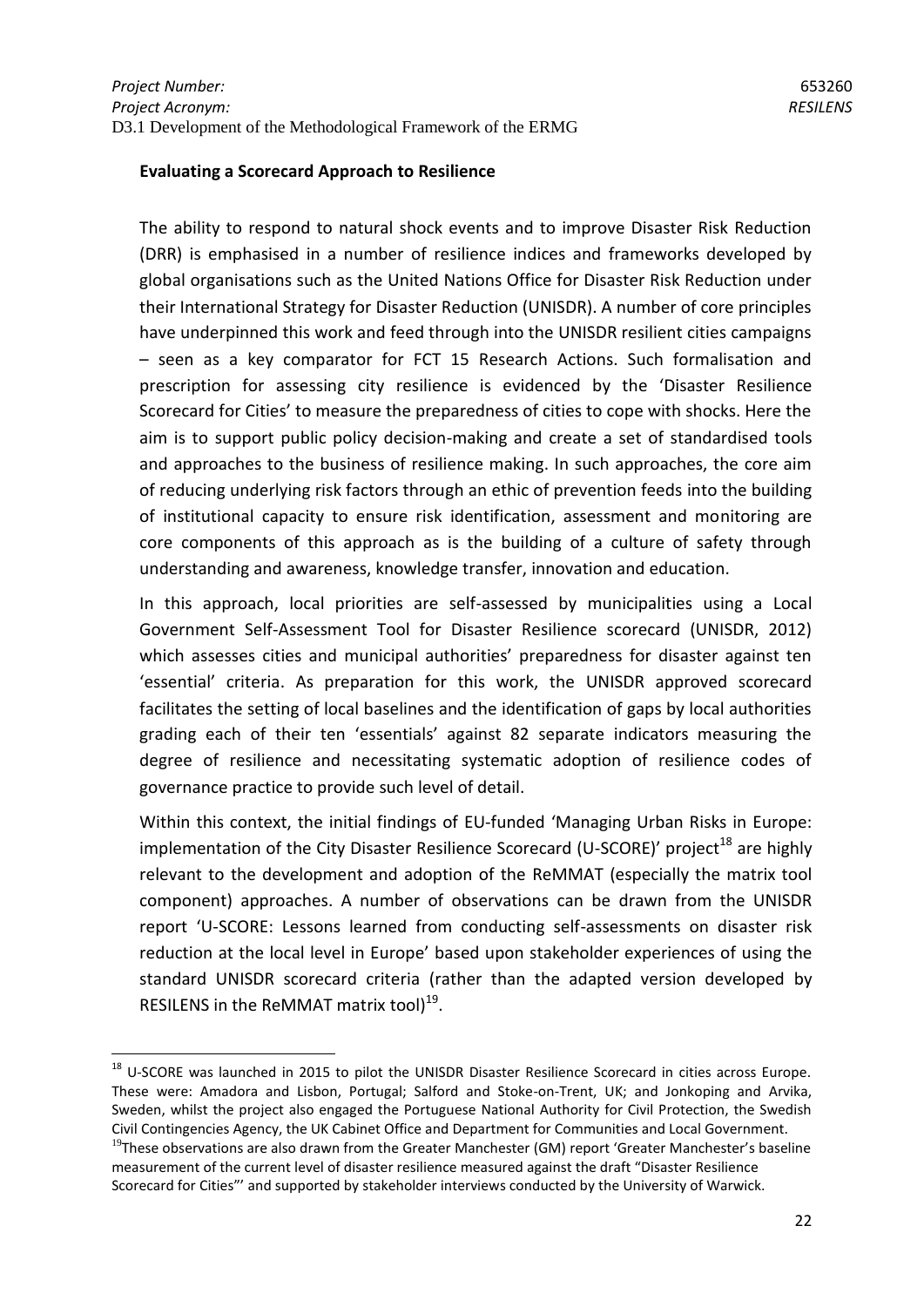#### **Evaluating a Scorecard Approach to Resilience**

The ability to respond to natural shock events and to improve Disaster Risk Reduction (DRR) is emphasised in a number of resilience indices and frameworks developed by global organisations such as the United Nations Office for Disaster Risk Reduction under their International Strategy for Disaster Reduction (UNISDR). A number of core principles have underpinned this work and feed through into the UNISDR resilient cities campaigns – seen as a key comparator for FCT 15 Research Actions. Such formalisation and prescription for assessing city resilience is evidenced by the 'Disaster Resilience Scorecard for Cities' to measure the preparedness of cities to cope with shocks. Here the aim is to support public policy decision-making and create a set of standardised tools and approaches to the business of resilience making. In such approaches, the core aim of reducing underlying risk factors through an ethic of prevention feeds into the building of institutional capacity to ensure risk identification, assessment and monitoring are core components of this approach as is the building of a culture of safety through understanding and awareness, knowledge transfer, innovation and education.

In this approach, local priorities are self-assessed by municipalities using a Local Government Self-Assessment Tool for Disaster Resilience scorecard (UNISDR, 2012) which assesses cities and municipal authorities' preparedness for disaster against ten 'essential' criteria. As preparation for this work, the UNISDR approved scorecard facilitates the setting of local baselines and the identification of gaps by local authorities grading each of their ten 'essentials' against 82 separate indicators measuring the degree of resilience and necessitating systematic adoption of resilience codes of governance practice to provide such level of detail.

Within this context, the initial findings of EU-funded 'Managing Urban Risks in Europe: implementation of the City Disaster Resilience Scorecard (U-SCORE)' project<sup>18</sup> are highly relevant to the development and adoption of the ReMMAT (especially the matrix tool component) approaches. A number of observations can be drawn from the UNISDR report 'U-SCORE: Lessons learned from conducting self-assessments on disaster risk reduction at the local level in Europe' based upon stakeholder experiences of using the standard UNISDR scorecard criteria (rather than the adapted version developed by RESILENS in the ReMMAT matrix tool) $^{19}$ .

<sup>&</sup>lt;sup>18</sup> U-SCORE was launched in 2015 to pilot the UNISDR Disaster Resilience Scorecard in cities across Europe. These were: Amadora and Lisbon, Portugal; Salford and Stoke-on-Trent, UK; and Jonkoping and Arvika, Sweden, whilst the project also engaged the Portuguese National Authority for Civil Protection, the Swedish Civil Contingencies Agency, the UK Cabinet Office and Department for Communities and Local Government.

 $19$ These observations are also drawn from the Greater Manchester (GM) report 'Greater Manchester's baseline measurement of the current level of disaster resilience measured against the draft "Disaster Resilience Scorecard for Cities"' and supported by stakeholder interviews conducted by the University of Warwick.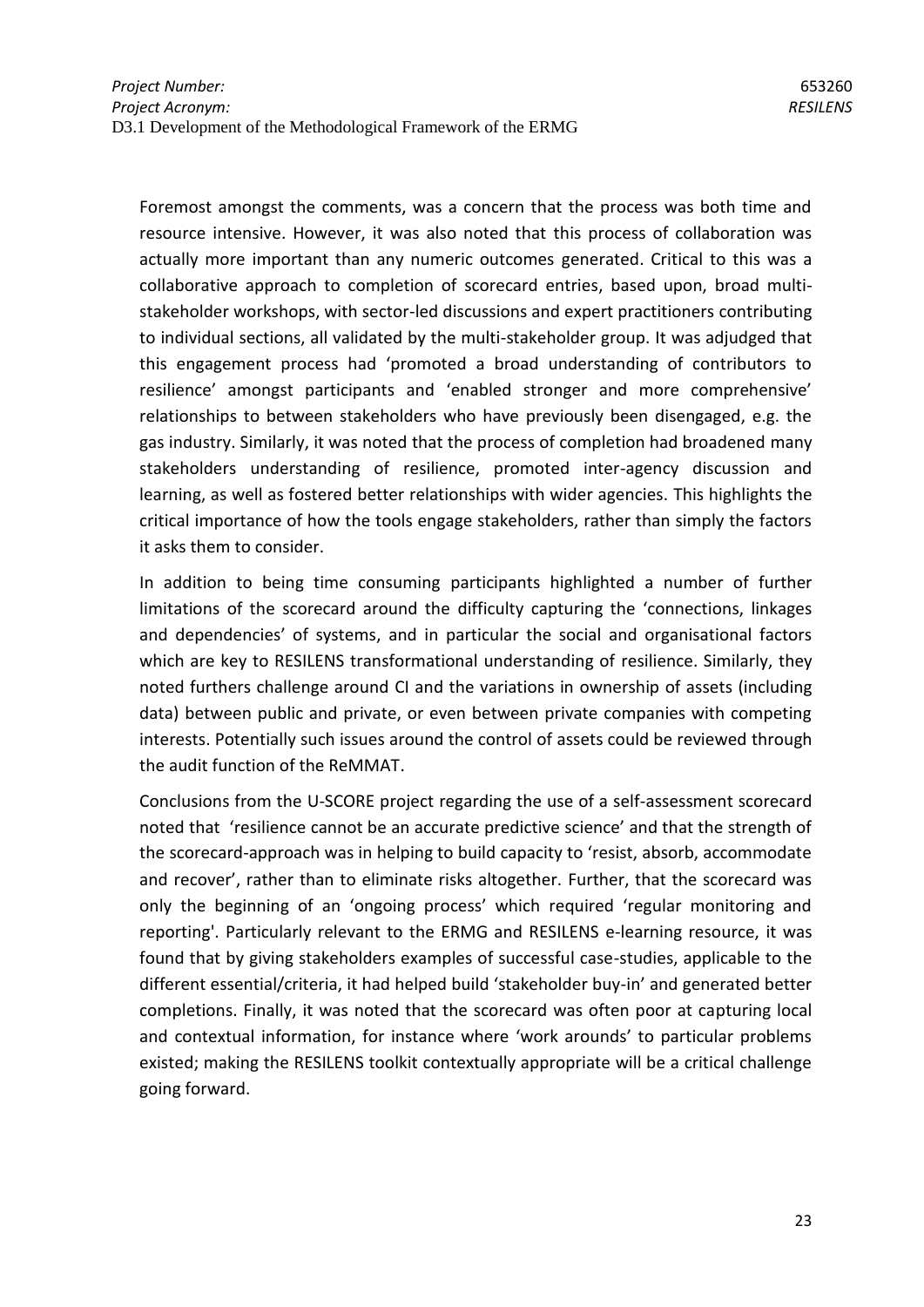Foremost amongst the comments, was a concern that the process was both time and resource intensive. However, it was also noted that this process of collaboration was actually more important than any numeric outcomes generated. Critical to this was a collaborative approach to completion of scorecard entries, based upon, broad multistakeholder workshops, with sector-led discussions and expert practitioners contributing to individual sections, all validated by the multi-stakeholder group. It was adjudged that this engagement process had 'promoted a broad understanding of contributors to resilience' amongst participants and 'enabled stronger and more comprehensive' relationships to between stakeholders who have previously been disengaged, e.g. the gas industry. Similarly, it was noted that the process of completion had broadened many stakeholders understanding of resilience, promoted inter-agency discussion and learning, as well as fostered better relationships with wider agencies. This highlights the critical importance of how the tools engage stakeholders, rather than simply the factors it asks them to consider.

In addition to being time consuming participants highlighted a number of further limitations of the scorecard around the difficulty capturing the 'connections, linkages and dependencies' of systems, and in particular the social and organisational factors which are key to RESILENS transformational understanding of resilience. Similarly, they noted furthers challenge around CI and the variations in ownership of assets (including data) between public and private, or even between private companies with competing interests. Potentially such issues around the control of assets could be reviewed through the audit function of the ReMMAT.

Conclusions from the U-SCORE project regarding the use of a self-assessment scorecard noted that 'resilience cannot be an accurate predictive science' and that the strength of the scorecard-approach was in helping to build capacity to 'resist, absorb, accommodate and recover', rather than to eliminate risks altogether. Further, that the scorecard was only the beginning of an 'ongoing process' which required 'regular monitoring and reporting'. Particularly relevant to the ERMG and RESILENS e-learning resource, it was found that by giving stakeholders examples of successful case-studies, applicable to the different essential/criteria, it had helped build 'stakeholder buy-in' and generated better completions. Finally, it was noted that the scorecard was often poor at capturing local and contextual information, for instance where 'work arounds' to particular problems existed; making the RESILENS toolkit contextually appropriate will be a critical challenge going forward.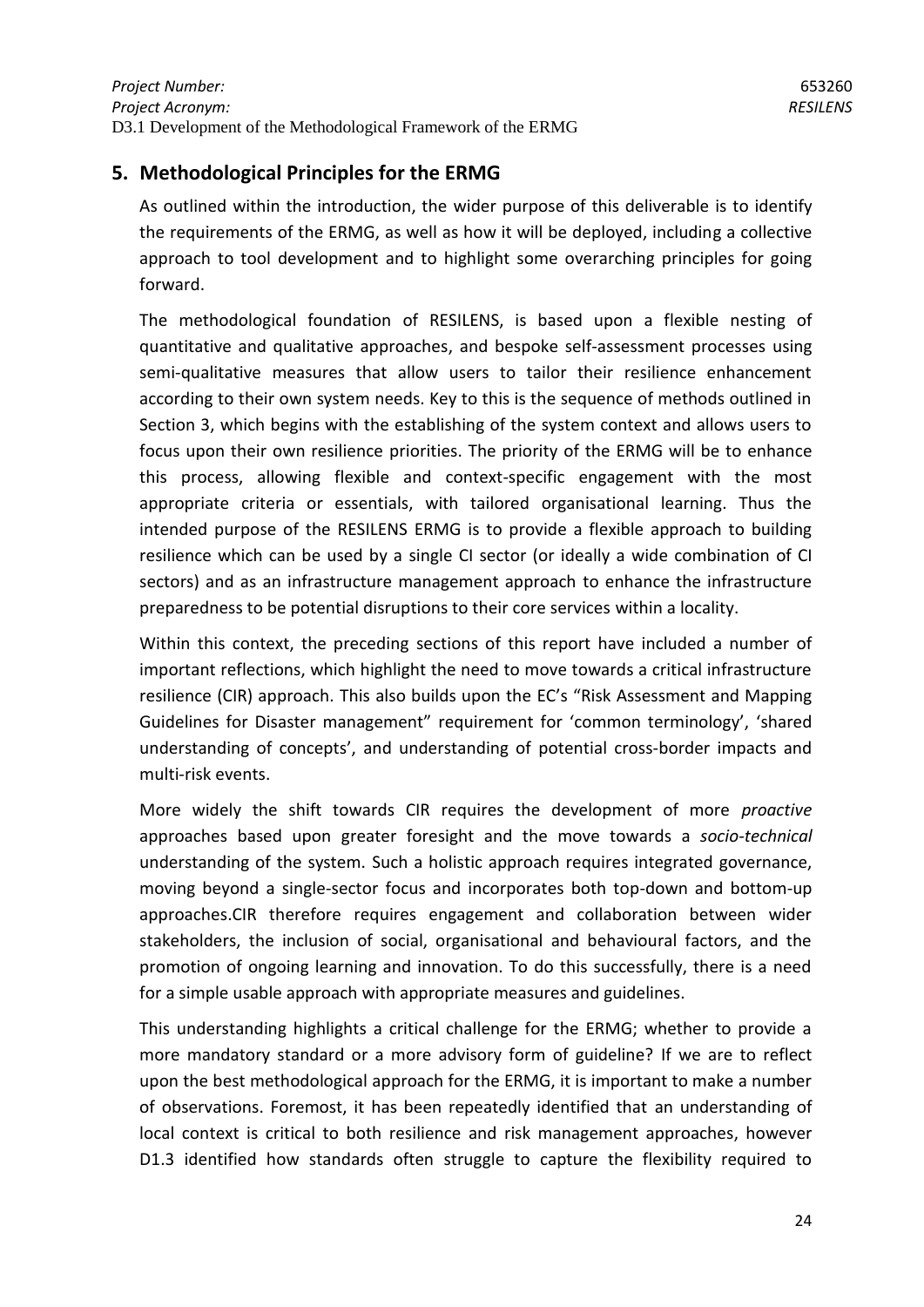# <span id="page-23-0"></span>**5. Methodological Principles for the ERMG**

As outlined within the introduction, the wider purpose of this deliverable is to identify the requirements of the ERMG, as well as how it will be deployed, including a collective approach to tool development and to highlight some overarching principles for going forward.

The methodological foundation of RESILENS, is based upon a flexible nesting of quantitative and qualitative approaches, and bespoke self-assessment processes using semi-qualitative measures that allow users to tailor their resilience enhancement according to their own system needs. Key to this is the sequence of methods outlined in Section 3, which begins with the establishing of the system context and allows users to focus upon their own resilience priorities. The priority of the ERMG will be to enhance this process, allowing flexible and context-specific engagement with the most appropriate criteria or essentials, with tailored organisational learning. Thus the intended purpose of the RESILENS ERMG is to provide a flexible approach to building resilience which can be used by a single CI sector (or ideally a wide combination of CI sectors) and as an infrastructure management approach to enhance the infrastructure preparedness to be potential disruptions to their core services within a locality.

Within this context, the preceding sections of this report have included a number of important reflections, which highlight the need to move towards a critical infrastructure resilience (CIR) approach. This also builds upon the EC's "Risk Assessment and Mapping Guidelines for Disaster management" requirement for 'common terminology', 'shared understanding of concepts', and understanding of potential cross-border impacts and multi-risk events.

More widely the shift towards CIR requires the development of more *proactive* approaches based upon greater foresight and the move towards a *socio-technical* understanding of the system. Such a holistic approach requires integrated governance, moving beyond a single-sector focus and incorporates both top-down and bottom-up approaches.CIR therefore requires engagement and collaboration between wider stakeholders, the inclusion of social, organisational and behavioural factors, and the promotion of ongoing learning and innovation. To do this successfully, there is a need for a simple usable approach with appropriate measures and guidelines.

This understanding highlights a critical challenge for the ERMG; whether to provide a more mandatory standard or a more advisory form of guideline? If we are to reflect upon the best methodological approach for the ERMG, it is important to make a number of observations. Foremost, it has been repeatedly identified that an understanding of local context is critical to both resilience and risk management approaches, however D1.3 identified how standards often struggle to capture the flexibility required to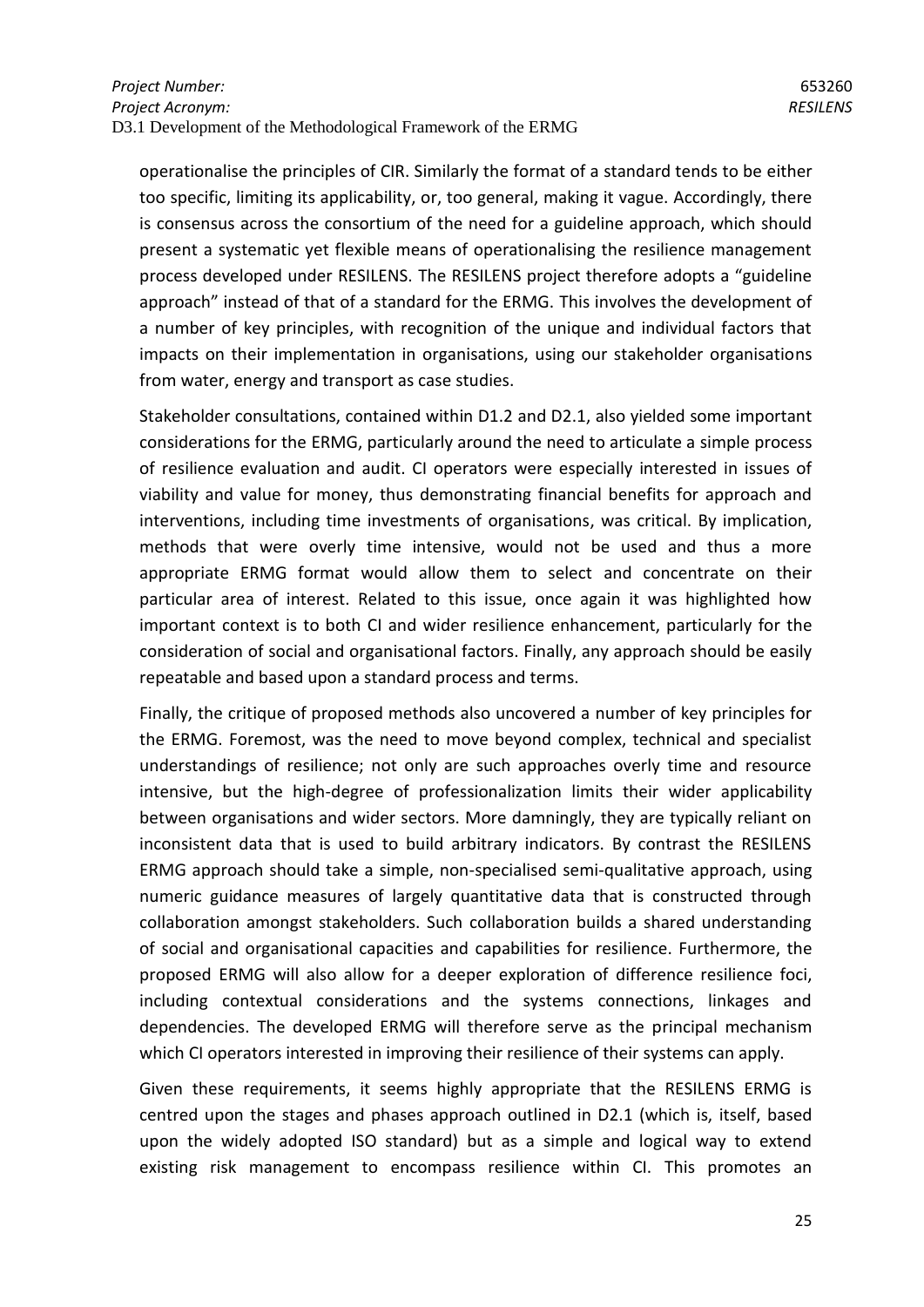operationalise the principles of CIR. Similarly the format of a standard tends to be either too specific, limiting its applicability, or, too general, making it vague. Accordingly, there is consensus across the consortium of the need for a guideline approach, which should present a systematic yet flexible means of operationalising the resilience management process developed under RESILENS. The RESILENS project therefore adopts a "guideline approach" instead of that of a standard for the ERMG. This involves the development of a number of key principles, with recognition of the unique and individual factors that impacts on their implementation in organisations, using our stakeholder organisations from water, energy and transport as case studies.

Stakeholder consultations, contained within D1.2 and D2.1, also yielded some important considerations for the ERMG, particularly around the need to articulate a simple process of resilience evaluation and audit. CI operators were especially interested in issues of viability and value for money, thus demonstrating financial benefits for approach and interventions, including time investments of organisations, was critical. By implication, methods that were overly time intensive, would not be used and thus a more appropriate ERMG format would allow them to select and concentrate on their particular area of interest. Related to this issue, once again it was highlighted how important context is to both CI and wider resilience enhancement, particularly for the consideration of social and organisational factors. Finally, any approach should be easily repeatable and based upon a standard process and terms.

Finally, the critique of proposed methods also uncovered a number of key principles for the ERMG. Foremost, was the need to move beyond complex, technical and specialist understandings of resilience; not only are such approaches overly time and resource intensive, but the high-degree of professionalization limits their wider applicability between organisations and wider sectors. More damningly, they are typically reliant on inconsistent data that is used to build arbitrary indicators. By contrast the RESILENS ERMG approach should take a simple, non-specialised semi-qualitative approach, using numeric guidance measures of largely quantitative data that is constructed through collaboration amongst stakeholders. Such collaboration builds a shared understanding of social and organisational capacities and capabilities for resilience. Furthermore, the proposed ERMG will also allow for a deeper exploration of difference resilience foci, including contextual considerations and the systems connections, linkages and dependencies. The developed ERMG will therefore serve as the principal mechanism which CI operators interested in improving their resilience of their systems can apply.

Given these requirements, it seems highly appropriate that the RESILENS ERMG is centred upon the stages and phases approach outlined in D2.1 (which is, itself, based upon the widely adopted ISO standard) but as a simple and logical way to extend existing risk management to encompass resilience within CI. This promotes an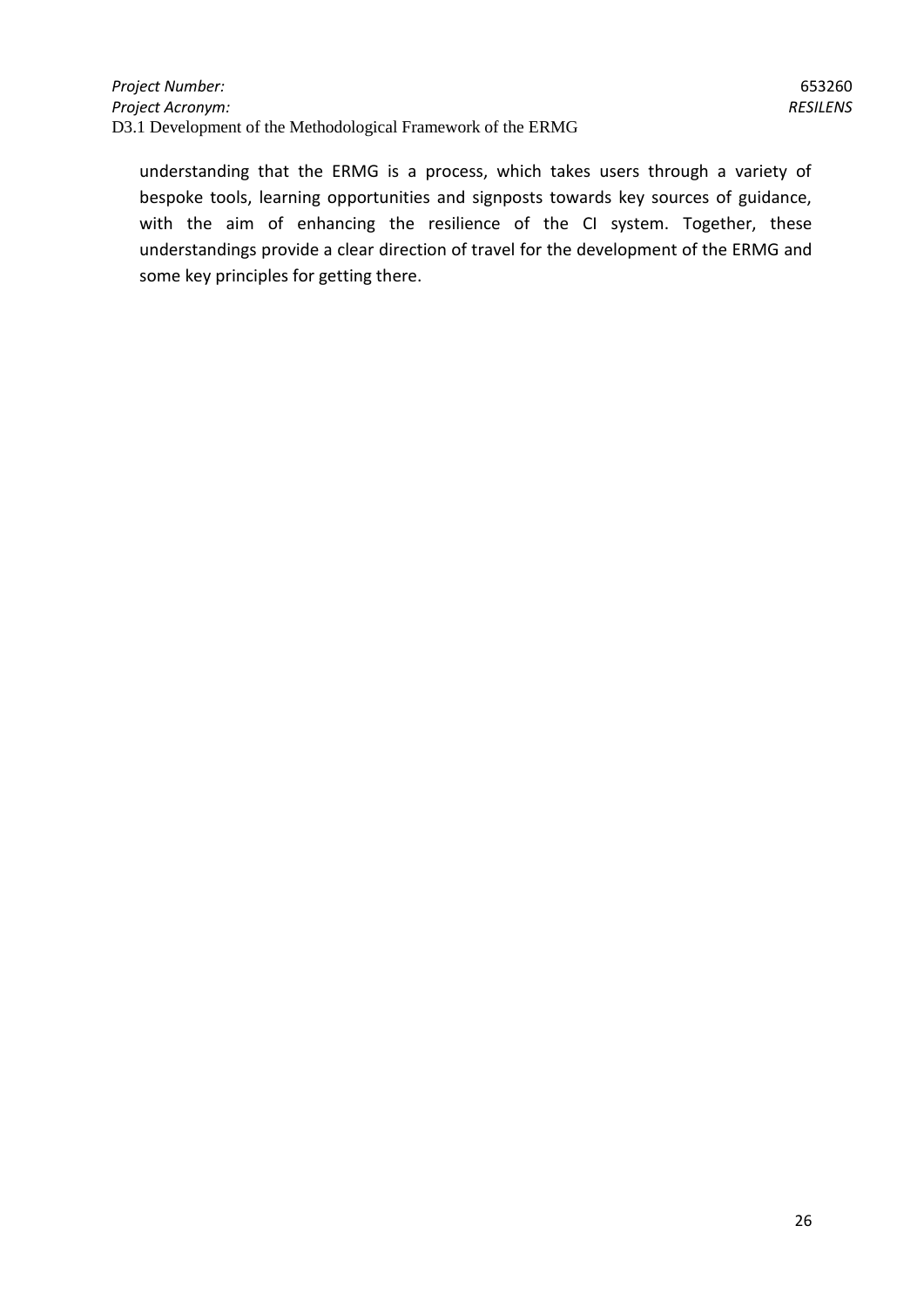understanding that the ERMG is a process, which takes users through a variety of bespoke tools, learning opportunities and signposts towards key sources of guidance, with the aim of enhancing the resilience of the CI system. Together, these understandings provide a clear direction of travel for the development of the ERMG and some key principles for getting there.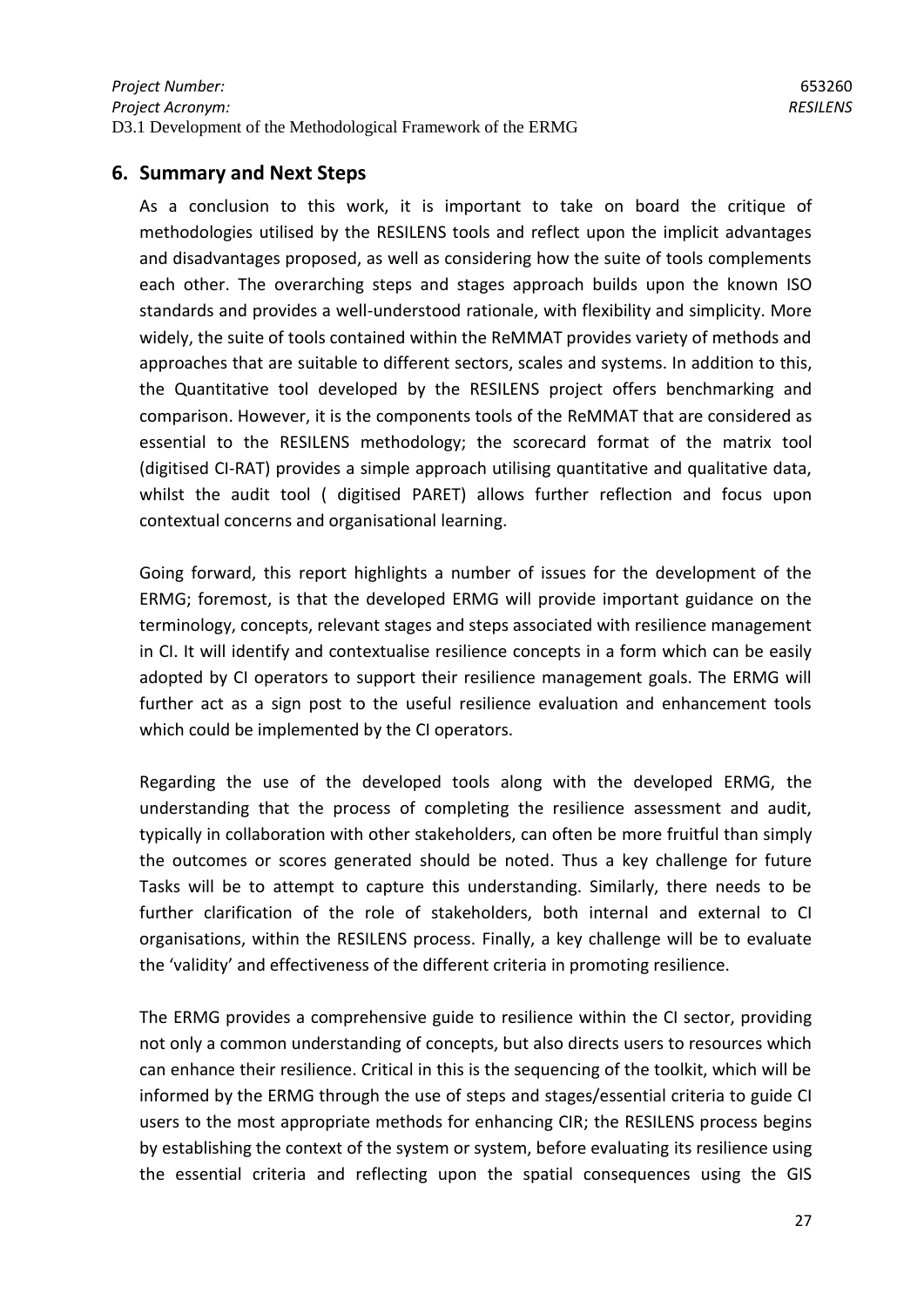# <span id="page-26-0"></span>**6. Summary and Next Steps**

As a conclusion to this work, it is important to take on board the critique of methodologies utilised by the RESILENS tools and reflect upon the implicit advantages and disadvantages proposed, as well as considering how the suite of tools complements each other. The overarching steps and stages approach builds upon the known ISO standards and provides a well-understood rationale, with flexibility and simplicity. More widely, the suite of tools contained within the ReMMAT provides variety of methods and approaches that are suitable to different sectors, scales and systems. In addition to this, the Quantitative tool developed by the RESILENS project offers benchmarking and comparison. However, it is the components tools of the ReMMAT that are considered as essential to the RESILENS methodology; the scorecard format of the matrix tool (digitised CI-RAT) provides a simple approach utilising quantitative and qualitative data, whilst the audit tool ( digitised PARET) allows further reflection and focus upon contextual concerns and organisational learning.

Going forward, this report highlights a number of issues for the development of the ERMG; foremost, is that the developed ERMG will provide important guidance on the terminology, concepts, relevant stages and steps associated with resilience management in CI. It will identify and contextualise resilience concepts in a form which can be easily adopted by CI operators to support their resilience management goals. The ERMG will further act as a sign post to the useful resilience evaluation and enhancement tools which could be implemented by the CI operators.

Regarding the use of the developed tools along with the developed ERMG, the understanding that the process of completing the resilience assessment and audit, typically in collaboration with other stakeholders, can often be more fruitful than simply the outcomes or scores generated should be noted. Thus a key challenge for future Tasks will be to attempt to capture this understanding. Similarly, there needs to be further clarification of the role of stakeholders, both internal and external to CI organisations, within the RESILENS process. Finally, a key challenge will be to evaluate the 'validity' and effectiveness of the different criteria in promoting resilience.

The ERMG provides a comprehensive guide to resilience within the CI sector, providing not only a common understanding of concepts, but also directs users to resources which can enhance their resilience. Critical in this is the sequencing of the toolkit, which will be informed by the ERMG through the use of steps and stages/essential criteria to guide CI users to the most appropriate methods for enhancing CIR; the RESILENS process begins by establishing the context of the system or system, before evaluating its resilience using the essential criteria and reflecting upon the spatial consequences using the GIS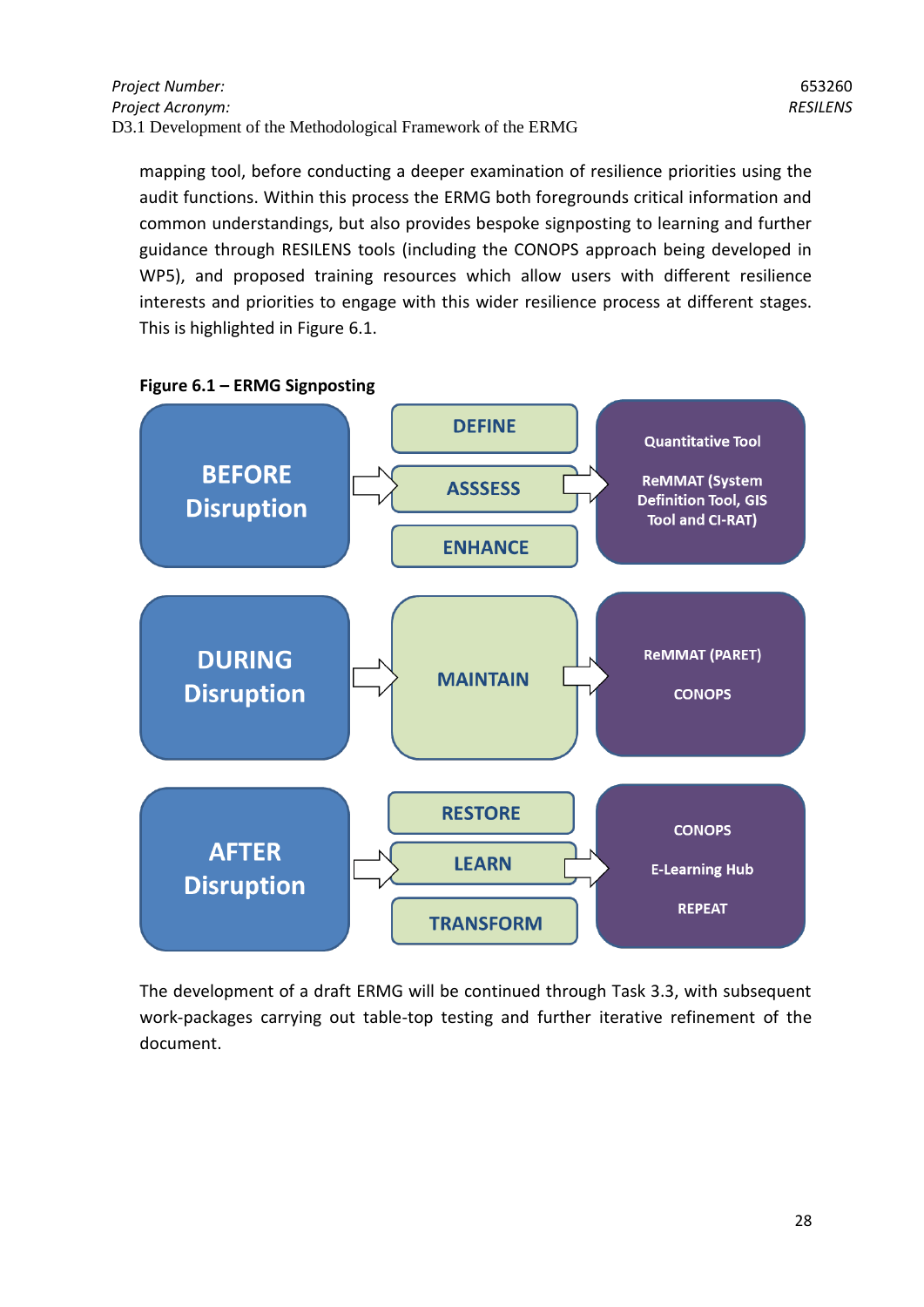mapping tool, before conducting a deeper examination of resilience priorities using the audit functions. Within this process the ERMG both foregrounds critical information and common understandings, but also provides bespoke signposting to learning and further guidance through RESILENS tools (including the CONOPS approach being developed in WP5), and proposed training resources which allow users with different resilience interests and priorities to engage with this wider resilience process at different stages. This is highlighted in Figure 6.1.



**Figure 6.1 – ERMG Signposting**

The development of a draft ERMG will be continued through Task 3.3, with subsequent work-packages carrying out table-top testing and further iterative refinement of the document.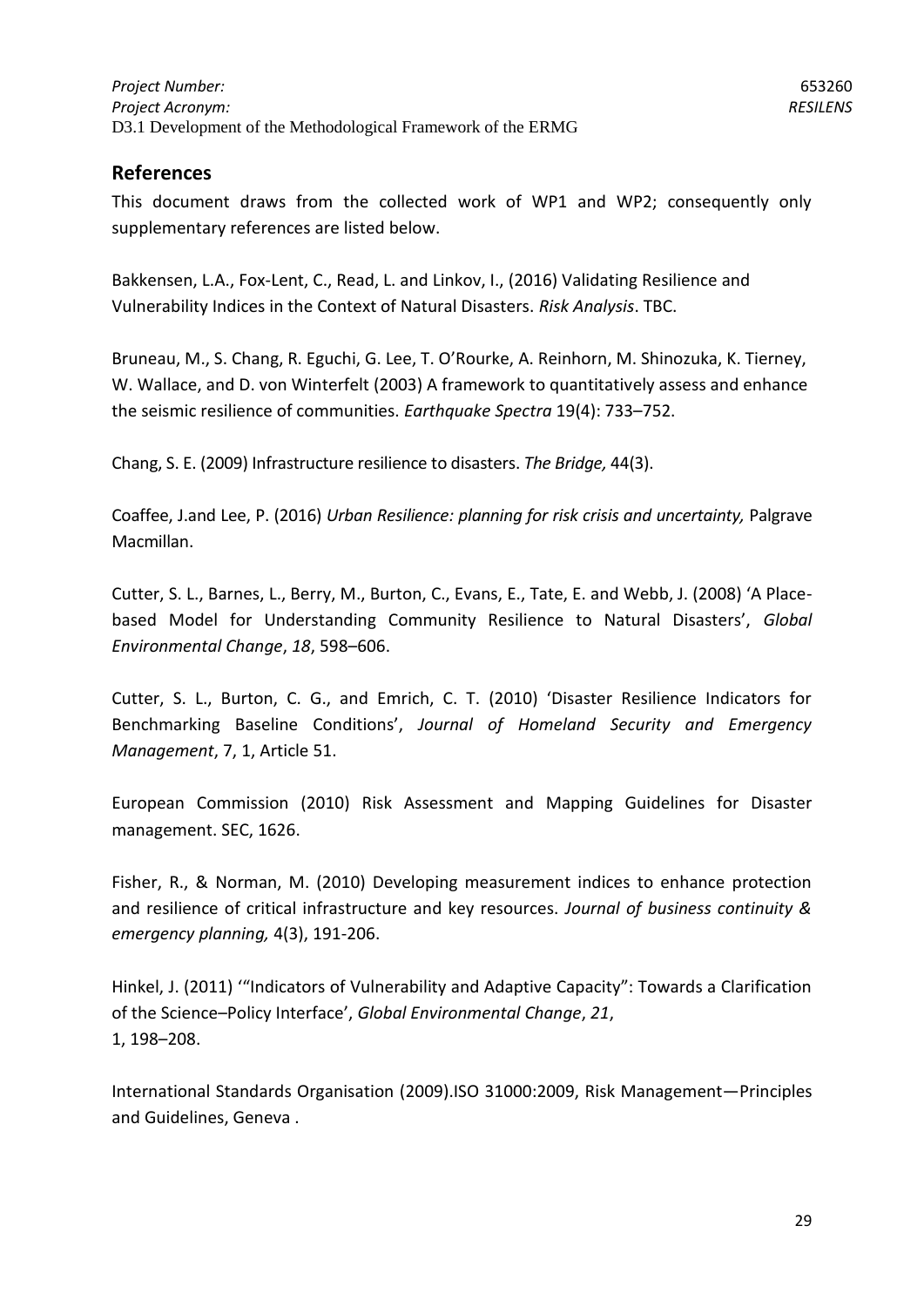# **References**

This document draws from the collected work of WP1 and WP2; consequently only supplementary references are listed below.

Bakkensen, L.A., Fox-Lent, C., Read, L. and Linkov, I., (2016) Validating Resilience and Vulnerability Indices in the Context of Natural Disasters. *Risk Analysis*. TBC.

Bruneau, M., S. Chang, R. Eguchi, G. Lee, T. O'Rourke, A. Reinhorn, M. Shinozuka, K. Tierney, W. Wallace, and D. von Winterfelt (2003) A framework to quantitatively assess and enhance the seismic resilience of communities. *Earthquake Spectra* 19(4): 733–752.

Chang, S. E. (2009) Infrastructure resilience to disasters. *The Bridge,* 44(3).

Coaffee, J.and Lee, P. (2016) *Urban Resilience: planning for risk crisis and uncertainty,* Palgrave Macmillan.

Cutter, S. L., Barnes, L., Berry, M., Burton, C., Evans, E., Tate, E. and Webb, J. (2008) 'A Placebased Model for Understanding Community Resilience to Natural Disasters', *Global Environmental Change*, *18*, 598–606.

Cutter, S. L., Burton, C. G., and Emrich, C. T. (2010) 'Disaster Resilience Indicators for Benchmarking Baseline Conditions', *Journal of Homeland Security and Emergency Management*, 7, 1, Article 51.

European Commission (2010) Risk Assessment and Mapping Guidelines for Disaster management. SEC, 1626.

Fisher, R., & Norman, M. (2010) Developing measurement indices to enhance protection and resilience of critical infrastructure and key resources. *Journal of business continuity & emergency planning,* 4(3), 191-206.

Hinkel, J. (2011) '"Indicators of Vulnerability and Adaptive Capacity": Towards a Clarification of the Science–Policy Interface', *Global Environmental Change*, *21*, 1, 198–208.

International Standards Organisation (2009).ISO 31000:2009, Risk Management—Principles and Guidelines, Geneva .